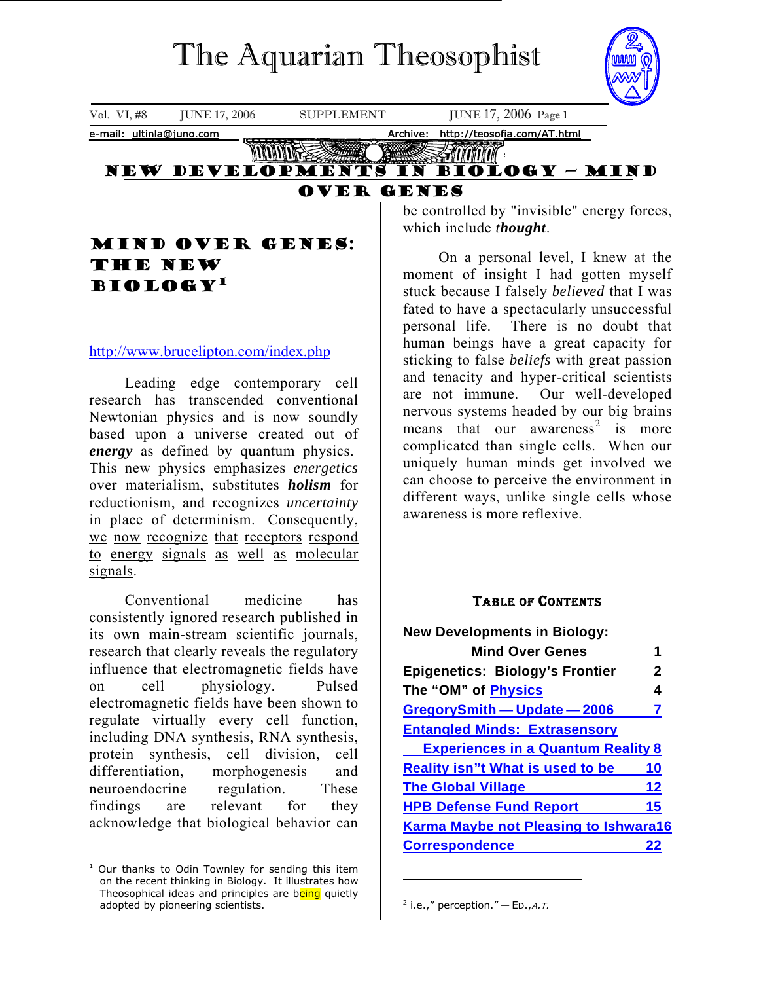# The Aquarian Theosophist



Vol. VI, #8 JUNE 17, 2006 SUPPLEMENT JUNE 17, 2006 Page 1 e-mail: ultinla@juno.com **Archive: http://teosofia.com/AT.html** Theorist helps developed and the single molecules of the single molecules and a New developments in biology — mind over genes

## Mind Over Genes: The New Biology[1](#page-0-0)

### <http://www.brucelipton.com/index.php>

Leading edge contemporary cell research has transcended conventional Newtonian physics and is now soundly based upon a universe created out of *energy* as defined by quantum physics. This new physics emphasizes *energetics*  over materialism, substitutes *holism* for reductionism, and recognizes *uncertainty*  in place of determinism. Consequently, we now recognize that receptors respond to energy signals as well as molecular signals.

Conventional medicine has consistently ignored research published in its own main-stream scientific journals, research that clearly reveals the regulatory influence that electromagnetic fields have on cell physiology. Pulsed electromagnetic fields have been shown to regulate virtually every cell function, including DNA synthesis, RNA synthesis, protein synthesis, cell division, cell differentiation, morphogenesis and neuroendocrine regulation. These findings are relevant for they acknowledge that biological behavior can

be controlled by "invisible" energy forces, which include *thought*.

On a personal level, I knew at the moment of insight I had gotten myself stuck because I falsely *believed* that I was fated to have a spectacularly unsuccessful personal life. There is no doubt that human beings have a great capacity for sticking to false *beliefs* with great passion and tenacity and hyper-critical scientists are not immune. Our well-developed nervous systems headed by our big brains means that our awareness<sup>[2](#page-0-1)</sup> is more complicated than single cells. When our uniquely human minds get involved we can choose to perceive the environment in different ways, unlike single cells whose awareness is more reflexive.

### TABLE OF CONTENTS

| <b>New Developments in Biology:</b>          |    |  |
|----------------------------------------------|----|--|
| <b>Mind Over Genes</b>                       | 1  |  |
| <b>Epigenetics: Biology's Frontier</b>       | 2  |  |
| The "OM" of Physics                          | 4  |  |
| GregorySmith — Update — 2006                 |    |  |
| <b>Entangled Minds: Extrasensory</b>         |    |  |
| <b>Experiences in a Quantum Reality 8</b>    |    |  |
| <b>Reality isn"t What is used to be</b>      | 10 |  |
| <b>The Global Village</b>                    | 12 |  |
| <b>HPB Defense Fund Report</b>               | 15 |  |
| <b>Karma Maybe not Pleasing to Ishwara16</b> |    |  |
| <b>Correspondence</b>                        |    |  |

 $\overline{a}$ 

<span id="page-0-1"></span><span id="page-0-0"></span><sup>&</sup>lt;sup>1</sup> Our thanks to Odin Townley for sending this item on the recent thinking in Biology. It illustrates how Theosophical ideas and principles are being quietly adopted by pioneering scientists.

 $2$  i.e.," perception." — ED., A.T.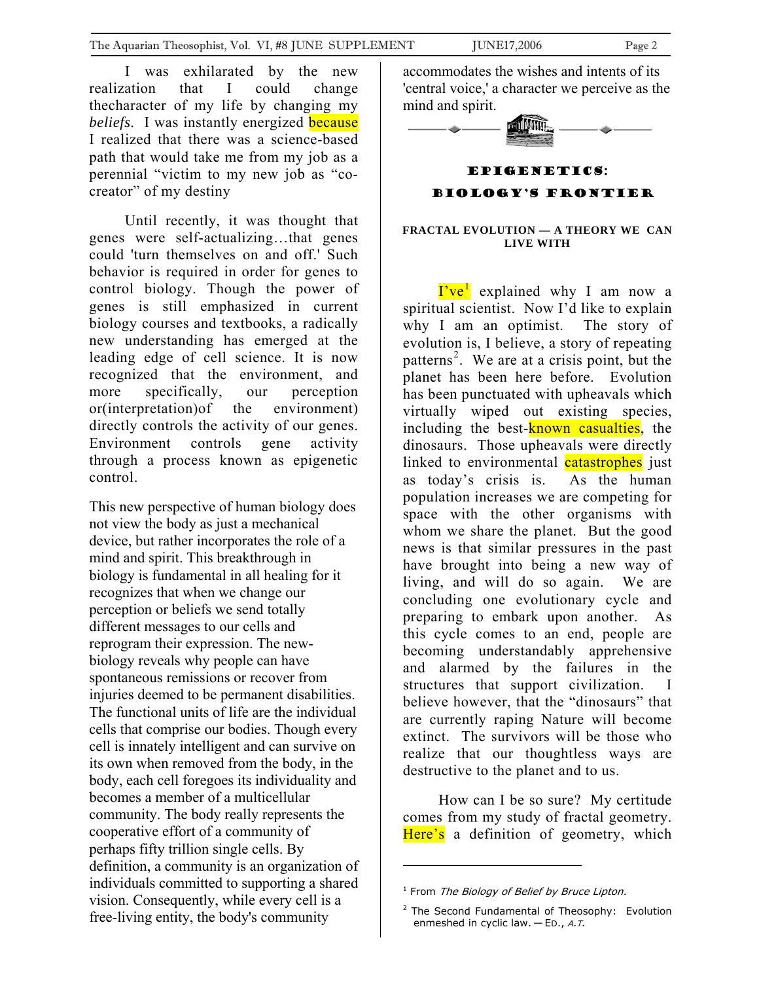I was exhilarated by the new realization that I could change thecharacter of my life by changing my *beliefs.* I was instantly energized **because** I realized that there was a science-based path that would take me from my job as a perennial "victim to my new job as "cocreator" of my destiny

Until recently, it was thought that genes were self-actualizing…that genes could 'turn themselves on and off.' Such behavior is required in order for genes to control biology. Though the power of genes is still emphasized in current biology courses and textbooks, a radically new understanding has emerged at the leading edge of cell science. It is now recognized that the environment, and more specifically, our perception or(interpretation)of the environment) directly controls the activity of our genes. Environment controls gene activity through a process known as epigenetic control.

<span id="page-1-0"></span>This new perspective of human biology does not view the body as just a mechanical device, but rather incorporates the role of a mind and spirit. This breakthrough in biology is fundamental in all healing for it recognizes that when we change our perception or beliefs we send totally different messages to our cells and reprogram their expression. The newbiology reveals why people can have spontaneous remissions or recover from injuries deemed to be permanent disabilities. The functional units of life are the individual cells that comprise our bodies. Though every cell is innately intelligent and can survive on its own when removed from the body, in the body, each cell foregoes its individuality and becomes a member of a multicellular community. The body really represents the cooperative effort of a community of perhaps fifty trillion single cells. By definition, a community is an organization of individuals committed to supporting a shared vision. Consequently, while every cell is a free-living entity, the body's community

accommodates the wishes and intents of its 'central voice,' a character we perceive as the mind and spirit.



## Epigenetics:

### Biology's Frontier

### **FRACTAL EVOLUTION — A THEORY WE CAN LIVE WITH**

I've<sup>[1](#page-1-0)</sup> explained why I am now a spiritual scientist. Now I'd like to explain why I am an optimist. The story of evolution is, I believe, a story of repeating patterns<sup>[2](#page-1-1)</sup>. We are at a crisis point, but the planet has been here before. Evolution has been punctuated with upheavals which virtually wiped out existing species, including the best-**known casualties**, the dinosaurs. Those upheavals were directly linked to environmental **catastrophes** just as today's crisis is. As the human population increases we are competing for space with the other organisms with whom we share the planet. But the good news is that similar pressures in the past have brought into being a new way of living, and will do so again. We are concluding one evolutionary cycle and preparing to embark upon another. As this cycle comes to an end, people are becoming understandably apprehensive and alarmed by the failures in the structures that support civilization. believe however, that the "dinosaurs" that are currently raping Nature will become extinct. The survivors will be those who realize that our thoughtless ways are destructive to the planet and to us.

How can I be so sure? My certitude comes from my study of fractal geometry. Here's a definition of geometry, which

 $1$  From *The Biology of Belief by Bruce Lipton.* 

<span id="page-1-1"></span><sup>&</sup>lt;sup>2</sup> The Second Fundamental of Theosophy: Evolution enmeshed in cyclic law.  $-$  ED., A.T.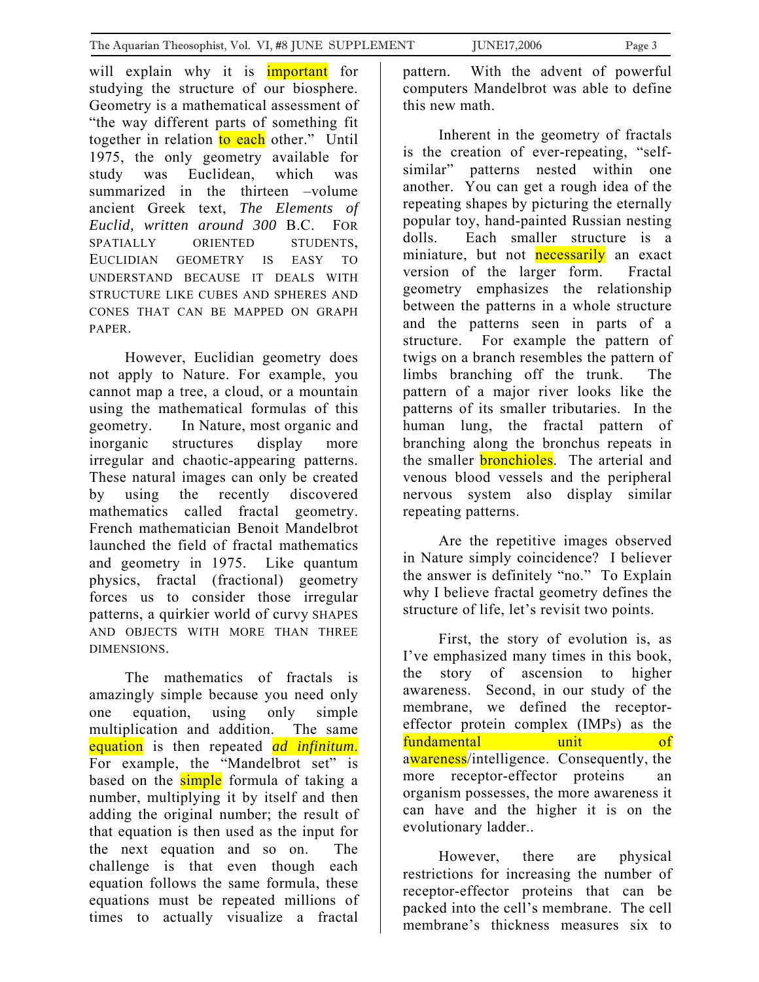will explain why it is **important** for studying the structure of our biosphere. Geometry is a mathematical assessment of "the way different parts of something fit together in relation to each other." Until 1975, the only geometry available for study was Euclidean, which was summarized in the thirteen –volume ancient Greek text, *The Elements of Euclid, written around 300* B.C. FOR SPATIALLY ORIENTED STUDENTS. EUCLIDIAN GEOMETRY IS EASY TO UNDERSTAND BECAUSE IT DEALS WITH STRUCTURE LIKE CUBES AND SPHERES AND CONES THAT CAN BE MAPPED ON GRAPH PAPER.

However, Euclidian geometry does not apply to Nature. For example, you cannot map a tree, a cloud, or a mountain using the mathematical formulas of this geometry. In Nature, most organic and inorganic structures display more irregular and chaotic-appearing patterns. These natural images can only be created by using the recently discovered mathematics called fractal geometry. French mathematician Benoit Mandelbrot launched the field of fractal mathematics and geometry in 1975. Like quantum physics, fractal (fractional) geometry forces us to consider those irregular patterns, a quirkier world of curvy SHAPES AND OBJECTS WITH MORE THAN THREE DIMENSIONS.

The mathematics of fractals is amazingly simple because you need only one equation, using only simple multiplication and addition. The same equation is then repeated *ad infinitum*. For example, the "Mandelbrot set" is based on the **simple** formula of taking a number, multiplying it by itself and then adding the original number; the result of that equation is then used as the input for the next equation and so on. The challenge is that even though each equation follows the same formula, these equations must be repeated millions of times to actually visualize a fractal

pattern. With the advent of powerful computers Mandelbrot was able to define this new math.

Inherent in the geometry of fractals is the creation of ever-repeating, "selfsimilar" patterns nested within one another. You can get a rough idea of the repeating shapes by picturing the eternally popular toy, hand-painted Russian nesting dolls. Each smaller structure is a miniature, but not necessarily an exact version of the larger form. Fractal geometry emphasizes the relationship between the patterns in a whole structure and the patterns seen in parts of a structure. For example the pattern of twigs on a branch resembles the pattern of limbs branching off the trunk. The pattern of a major river looks like the patterns of its smaller tributaries. In the human lung, the fractal pattern of branching along the bronchus repeats in the smaller **bronchioles**. The arterial and venous blood vessels and the peripheral nervous system also display similar repeating patterns.

Are the repetitive images observed in Nature simply coincidence? I believer the answer is definitely "no." To Explain why I believe fractal geometry defines the structure of life, let's revisit two points.

First, the story of evolution is, as I've emphasized many times in this book, the story of ascension to higher awareness. Second, in our study of the membrane, we defined the receptoreffector protein complex (IMPs) as the fundamental unit of awareness/intelligence. Consequently, the more receptor-effector proteins an organism possesses, the more awareness it can have and the higher it is on the evolutionary ladder..

However, there are physical restrictions for increasing the number of receptor-effector proteins that can be packed into the cell's membrane. The cell membrane's thickness measures six to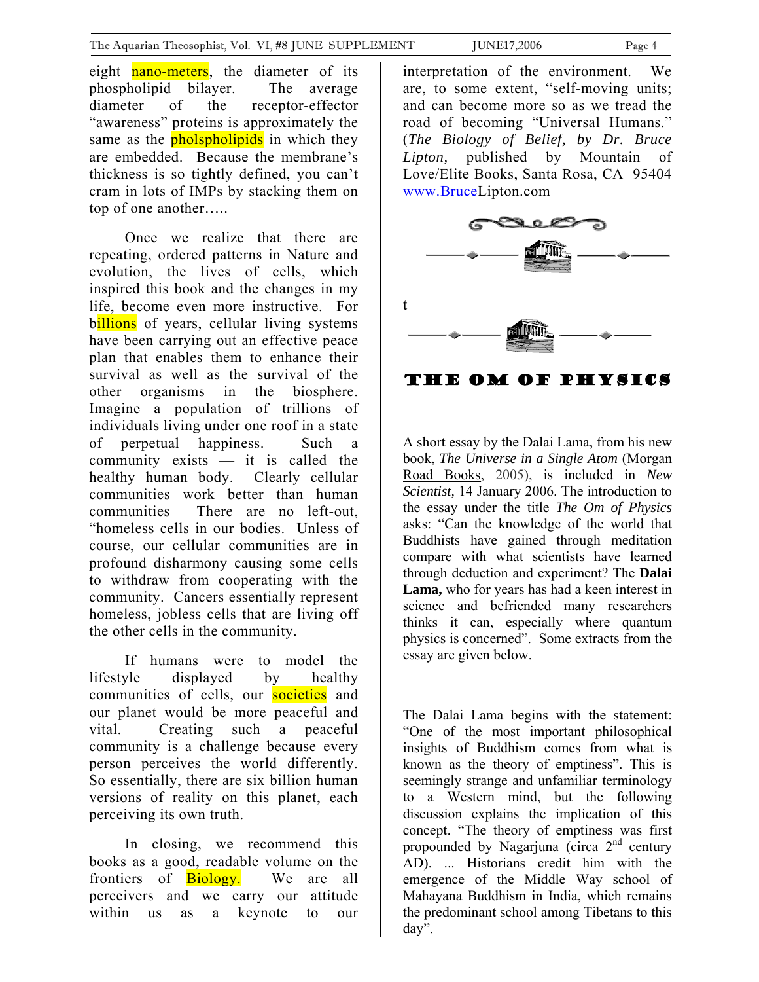<span id="page-3-0"></span>eight nano-meters, the diameter of its phospholipid bilayer. The average diameter of the receptor-effector "awareness" proteins is approximately the same as the **pholspholipids** in which they are embedded. Because the membrane's thickness is so tightly defined, you can't cram in lots of IMPs by stacking them on top of one another…..

Once we realize that there are repeating, ordered patterns in Nature and evolution, the lives of cells, which inspired this book and the changes in my life, become even more instructive. For billions of years, cellular living systems have been carrying out an effective peace plan that enables them to enhance their survival as well as the survival of the other organisms in the biosphere. Imagine a population of trillions of individuals living under one roof in a state of perpetual happiness. Such a community exists — it is called the healthy human body. Clearly cellular communities work better than human communities There are no left-out, "homeless cells in our bodies. Unless of course, our cellular communities are in profound disharmony causing some cells to withdraw from cooperating with the community. Cancers essentially represent homeless, jobless cells that are living off the other cells in the community.

If humans were to model the lifestyle displayed by healthy communities of cells, our societies and our planet would be more peaceful and vital. Creating such a peaceful community is a challenge because every person perceives the world differently. So essentially, there are six billion human versions of reality on this planet, each perceiving its own truth.

In closing, we recommend this books as a good, readable volume on the frontiers of **Biology**. We are all perceivers and we carry our attitude within us as a keynote to our

interpretation of the environment. We are, to some extent, "self-moving units; and can become more so as we tread the road of becoming "Universal Humans." (*The Biology of Belief, by Dr. Bruce Lipton,* published by Mountain of Love/Elite Books, Santa Rosa, CA 95404 [www.Bruce](http://www.bruce/)Lipton.com



A short essay by the Dalai Lama, from his new book, *The Universe in a Single Atom* ([Morgan](http://www.broadwaybooks.com/)  [Road Books,](http://www.broadwaybooks.com/) 2005), is included in *New Scientist,* 14 January 2006. The introduction to the essay under the title *The Om of Physics*  asks: "Can the knowledge of the world that Buddhists have gained through meditation compare with what scientists have learned through deduction and experiment? The **Dalai Lama,** who for years has had a keen interest in science and befriended many researchers thinks it can, especially where quantum physics is concerned". Some extracts from the essay are given below.

The Dalai Lama begins with the statement: "One of the most important philosophical insights of Buddhism comes from what is known as the theory of emptiness". This is seemingly strange and unfamiliar terminology to a Western mind, but the following discussion explains the implication of this concept. "The theory of emptiness was first propounded by Nagarjuna ( $\text{circa } 2^{\text{nd}}$  century AD). ... Historians credit him with the emergence of the Middle Way school of Mahayana Buddhism in India, which remains the predominant school among Tibetans to this day".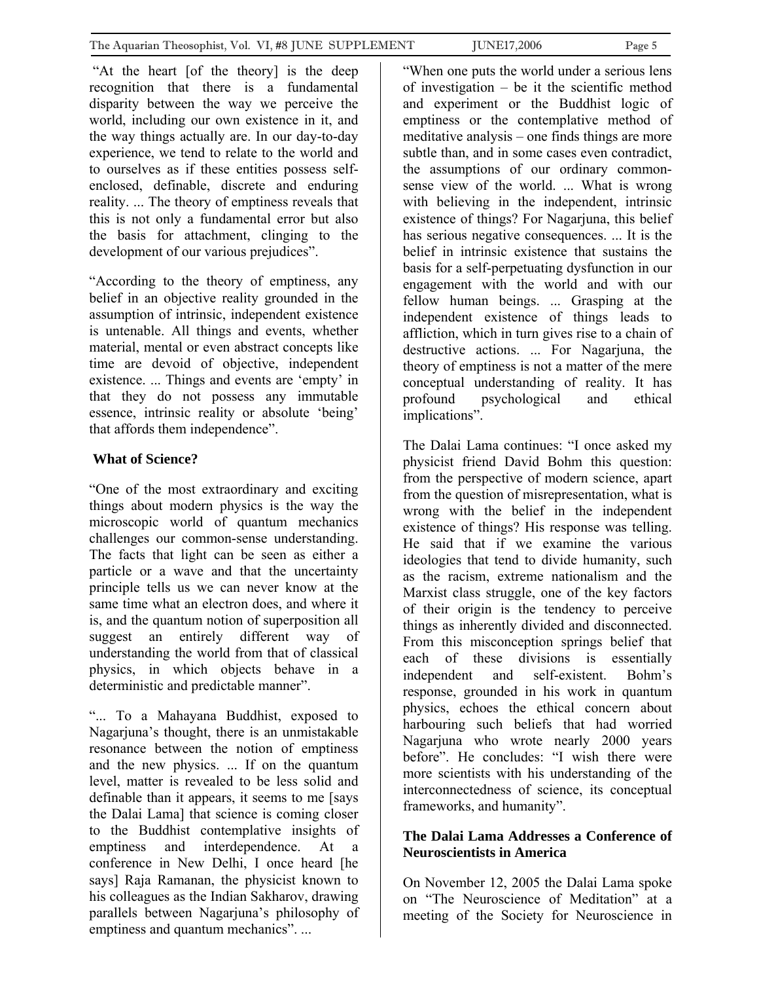"At the heart [of the theory] is the deep recognition that there is a fundamental disparity between the way we perceive the world, including our own existence in it, and the way things actually are. In our day-to-day experience, we tend to relate to the world and to ourselves as if these entities possess selfenclosed, definable, discrete and enduring reality. ... The theory of emptiness reveals that this is not only a fundamental error but also the basis for attachment, clinging to the development of our various prejudices".

"According to the theory of emptiness, any belief in an objective reality grounded in the assumption of intrinsic, independent existence is untenable. All things and events, whether material, mental or even abstract concepts like time are devoid of objective, independent existence. ... Things and events are 'empty' in that they do not possess any immutable essence, intrinsic reality or absolute 'being' that affords them independence".

### **What of Science?**

"One of the most extraordinary and exciting things about modern physics is the way the microscopic world of quantum mechanics challenges our common-sense understanding. The facts that light can be seen as either a particle or a wave and that the uncertainty principle tells us we can never know at the same time what an electron does, and where it is, and the quantum notion of superposition all suggest an entirely different way of understanding the world from that of classical physics, in which objects behave in a deterministic and predictable manner".

"... To a Mahayana Buddhist, exposed to Nagarjuna's thought, there is an unmistakable resonance between the notion of emptiness and the new physics. ... If on the quantum level, matter is revealed to be less solid and definable than it appears, it seems to me [says the Dalai Lama] that science is coming closer to the Buddhist contemplative insights of emptiness and interdependence. At a conference in New Delhi, I once heard [he says] Raja Ramanan, the physicist known to his colleagues as the Indian Sakharov, drawing parallels between Nagarjuna's philosophy of emptiness and quantum mechanics"....

"When one puts the world under a serious lens of investigation – be it the scientific method and experiment or the Buddhist logic of emptiness or the contemplative method of meditative analysis – one finds things are more subtle than, and in some cases even contradict, the assumptions of our ordinary commonsense view of the world. ... What is wrong with believing in the independent, intrinsic existence of things? For Nagarjuna, this belief has serious negative consequences. ... It is the belief in intrinsic existence that sustains the basis for a self-perpetuating dysfunction in our engagement with the world and with our fellow human beings. ... Grasping at the independent existence of things leads to affliction, which in turn gives rise to a chain of destructive actions. ... For Nagariuna, the theory of emptiness is not a matter of the mere conceptual understanding of reality. It has profound psychological and ethical

implications".

The Dalai Lama continues: "I once asked my physicist friend David Bohm this question: from the perspective of modern science, apart from the question of misrepresentation, what is wrong with the belief in the independent existence of things? His response was telling. He said that if we examine the various ideologies that tend to divide humanity, such as the racism, extreme nationalism and the Marxist class struggle, one of the key factors of their origin is the tendency to perceive things as inherently divided and disconnected. From this misconception springs belief that each of these divisions is essentially independent and self-existent. Bohm's response, grounded in his work in quantum physics, echoes the ethical concern about harbouring such beliefs that had worried Nagarjuna who wrote nearly 2000 years before". He concludes: "I wish there were more scientists with his understanding of the interconnectedness of science, its conceptual frameworks, and humanity".

### **The Dalai Lama Addresses a Conference of Neuroscientists in America**

On November 12, 2005 the Dalai Lama spoke on "The Neuroscience of Meditation" at a meeting of the Society for Neuroscience in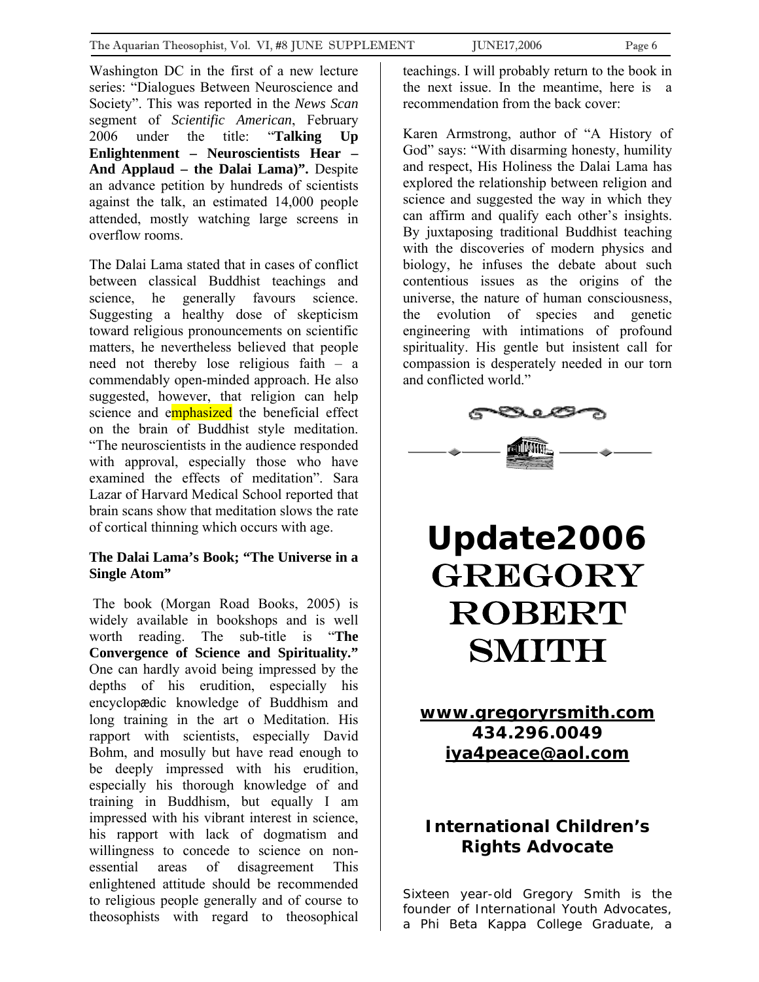<span id="page-5-0"></span>Washington DC in the first of a new lecture series: "Dialogues Between Neuroscience and Society". This was reported in the *News Scan* segment of *Scientific American*, February 2006 under the title: "**Talking Up Enlightenment – Neuroscientists Hear – And Applaud – the Dalai Lama)".** Despite an advance petition by hundreds of scientists against the talk, an estimated 14,000 people attended, mostly watching large screens in overflow rooms.

The Dalai Lama stated that in cases of conflict between classical Buddhist teachings and science, he generally favours science. Suggesting a healthy dose of skepticism toward religious pronouncements on scientific matters, he nevertheless believed that people need not thereby lose religious faith – a commendably open-minded approach. He also suggested, however, that religion can help science and emphasized the beneficial effect on the brain of Buddhist style meditation. "The neuroscientists in the audience responded with approval, especially those who have examined the effects of meditation". Sara Lazar of Harvard Medical School reported that brain scans show that meditation slows the rate of cortical thinning which occurs with age.

### **The Dalai Lama's Book; "The Universe in a Single Atom"**

 The book (Morgan Road Books, 2005) is widely available in bookshops and is well worth reading. The sub-title is "**The Convergence of Science and Spirituality."**  One can hardly avoid being impressed by the depths of his erudition, especially his encyclopædic knowledge of Buddhism and long training in the art o Meditation. His rapport with scientists, especially David Bohm, and mosully but have read enough to be deeply impressed with his erudition, especially his thorough knowledge of and training in Buddhism, but equally I am impressed with his vibrant interest in science, his rapport with lack of dogmatism and willingness to concede to science on nonessential areas of disagreement This enlightened attitude should be recommended to religious people generally and of course to theosophists with regard to theosophical

teachings. I will probably return to the book in the next issue. In the meantime, here is a recommendation from the back cover:

Karen Armstrong, author of "A History of God" says: "With disarming honesty, humility and respect, His Holiness the Dalai Lama has explored the relationship between religion and science and suggested the way in which they can affirm and qualify each other's insights. By juxtaposing traditional Buddhist teaching with the discoveries of modern physics and biology, he infuses the debate about such contentious issues as the origins of the universe, the nature of human consciousness, the evolution of species and genetic engineering with intimations of profound spirituality. His gentle but insistent call for compassion is desperately needed in our torn and conflicted world."



# **Update2006 GREGORY** ROBERT **SMITH**

## **[www.gregoryrsmith.com](http://www.gregoryrsmith.com/) 434.296.0049 [iya4peace@aol.com](mailto:iya4peace@aol.com)**

## **International Children's Rights Advocate**

Sixteen year-old Gregory Smith is the founder of International Youth Advocates, a Phi Beta Kappa College Graduate, a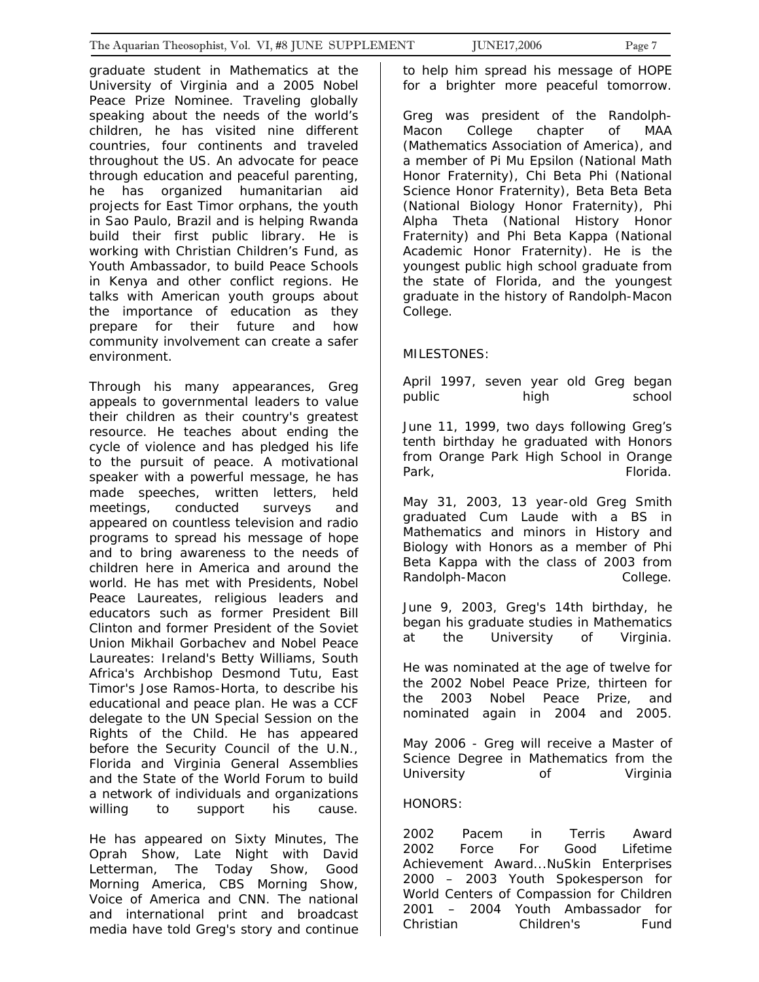graduate student in Mathematics at the University of Virginia and a 2005 Nobel Peace Prize Nominee. Traveling globally speaking about the needs of the world's children, he has visited nine different countries, four continents and traveled throughout the US. An advocate for peace through education and peaceful parenting, he has organized humanitarian aid projects for East Timor orphans, the youth in Sao Paulo, Brazil and is helping Rwanda build their first public library. He is working with Christian Children's Fund, as Youth Ambassador, to build Peace Schools in Kenya and other conflict regions. He talks with American youth groups about the importance of education as they prepare for their future and how community involvement can create a safer environment.

Through his many appearances, Greg appeals to governmental leaders to value their children as their country's greatest resource. He teaches about ending the cycle of violence and has pledged his life to the pursuit of peace. A motivational speaker with a powerful message, he has made speeches, written letters, held meetings, conducted surveys and appeared on countless television and radio programs to spread his message of hope and to bring awareness to the needs of children here in America and around the world. He has met with Presidents, Nobel Peace Laureates, religious leaders and educators such as former President Bill Clinton and former President of the Soviet Union Mikhail Gorbachev and Nobel Peace Laureates: Ireland's Betty Williams, South Africa's Archbishop Desmond Tutu, East Timor's Jose Ramos-Horta, to describe his educational and peace plan. He was a CCF delegate to the UN Special Session on the Rights of the Child. He has appeared before the Security Council of the U.N., Florida and Virginia General Assemblies and the State of the World Forum to build a network of individuals and organizations willing to support his cause.

He has appeared on Sixty Minutes, The Oprah Show, Late Night with David Letterman, The Today Show, Good Morning America, CBS Morning Show, Voice of America and CNN. The national and international print and broadcast media have told Greg's story and continue to help him spread his message of HOPE for a brighter more peaceful tomorrow.

Greg was president of the Randolph-Macon College chapter of MAA (Mathematics Association of America), and a member of Pi Mu Epsilon (National Math Honor Fraternity), Chi Beta Phi (National Science Honor Fraternity), Beta Beta Beta (National Biology Honor Fraternity), Phi Alpha Theta (National History Honor Fraternity) and Phi Beta Kappa (National Academic Honor Fraternity). He is the youngest public high school graduate from the state of Florida, and the youngest graduate in the history of Randolph-Macon College.

### MILESTONES:

April 1997, seven year old Greg began public high school

June 11, 1999, two days following Greg's tenth birthday he graduated with Honors from Orange Park High School in Orange Park, **Florida.** 

May 31, 2003, 13 year-old Greg Smith graduated Cum Laude with a BS in Mathematics and minors in History and Biology with Honors as a member of Phi Beta Kappa with the class of 2003 from Randolph-Macon College.

June 9, 2003, Greg's 14th birthday, he began his graduate studies in Mathematics at the University of Virginia.

He was nominated at the age of twelve for the 2002 Nobel Peace Prize, thirteen for the 2003 Nobel Peace Prize, and nominated again in 2004 and 2005.

May 2006 - Greg will receive a Master of Science Degree in Mathematics from the University of Virginia

### HONORS:

2002 Pacem in Terris Award 2002 Force For Good Lifetime Achievement Award...NuSkin Enterprises 2000 – 2003 Youth Spokesperson for World Centers of Compassion for Children 2001 – 2004 Youth Ambassador for Christian Children's Fund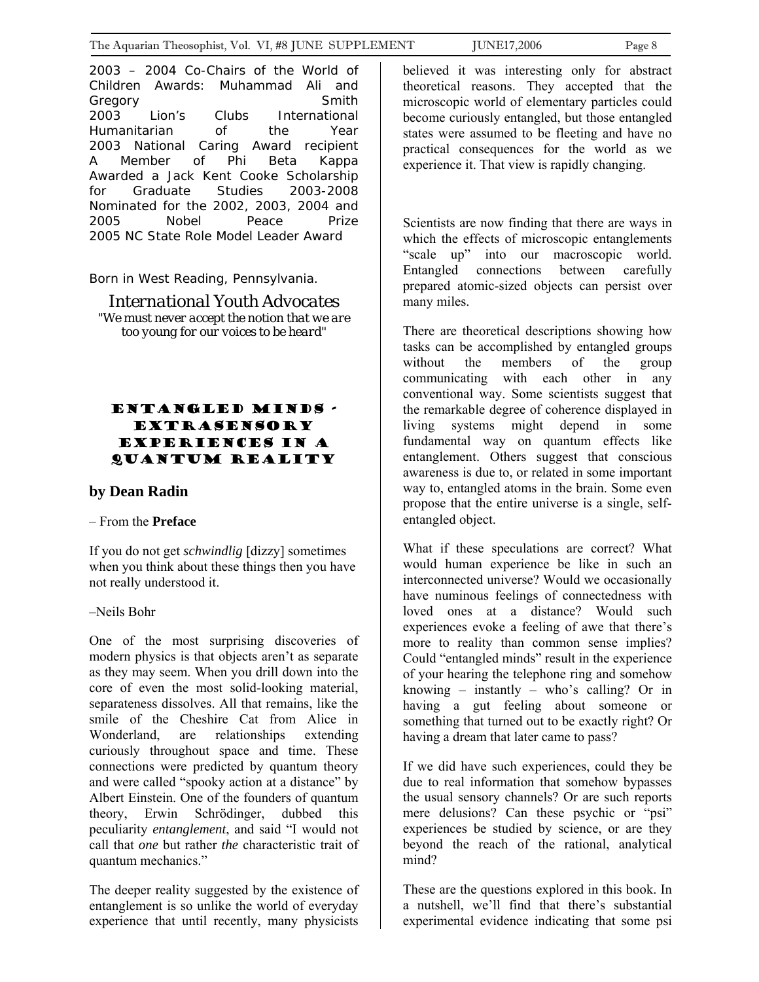<span id="page-7-0"></span>2003 – 2004 Co-Chairs of the World of Children Awards: Muhammad Ali and Gregory Smith 2003 Lion's Clubs International Humanitarian of the Year 2003 National Caring Award recipient A Member of Phi Beta Kappa Awarded a Jack Kent Cooke Scholarship for Graduate Studies 2003-2008 Nominated for the 2002, 2003, 2004 and 2005 Nobel Peace Prize 2005 NC State Role Model Leader Award

Born in West Reading, Pennsylvania.

*International Youth Advocates "We must never accept the notion that we are too young for our voices to be heard"* 

### Entangled Minds - **EXTRASENSORY** Experiences in a Quantum Reality

### **by Dean Radin**

### – From the **Preface**

If you do not get *schwindlig* [dizzy] sometimes when you think about these things then you have not really understood it.

### –Neils Bohr

One of the most surprising discoveries of modern physics is that objects aren't as separate as they may seem. When you drill down into the core of even the most solid-looking material, separateness dissolves. All that remains, like the smile of the Cheshire Cat from Alice in Wonderland, are relationships extending curiously throughout space and time. These connections were predicted by quantum theory and were called "spooky action at a distance" by Albert Einstein. One of the founders of quantum theory, Erwin Schrödinger, dubbed this peculiarity *entanglement*, and said "I would not call that *one* but rather *the* characteristic trait of quantum mechanics."

The deeper reality suggested by the existence of entanglement is so unlike the world of everyday experience that until recently, many physicists

believed it was interesting only for abstract theoretical reasons. They accepted that the microscopic world of elementary particles could become curiously entangled, but those entangled states were assumed to be fleeting and have no practical consequences for the world as we experience it. That view is rapidly changing.

Scientists are now finding that there are ways in which the effects of microscopic entanglements "scale up" into our macroscopic world. Entangled connections between carefully prepared atomic-sized objects can persist over many miles.

There are theoretical descriptions showing how tasks can be accomplished by entangled groups without the members of the group communicating with each other in any conventional way. Some scientists suggest that the remarkable degree of coherence displayed in living systems might depend in some fundamental way on quantum effects like entanglement. Others suggest that conscious awareness is due to, or related in some important way to, entangled atoms in the brain. Some even propose that the entire universe is a single, selfentangled object.

What if these speculations are correct? What would human experience be like in such an interconnected universe? Would we occasionally have numinous feelings of connectedness with loved ones at a distance? Would such experiences evoke a feeling of awe that there's more to reality than common sense implies? Could "entangled minds" result in the experience of your hearing the telephone ring and somehow knowing – instantly – who's calling? Or in having a gut feeling about someone or something that turned out to be exactly right? Or having a dream that later came to pass?

If we did have such experiences, could they be due to real information that somehow bypasses the usual sensory channels? Or are such reports mere delusions? Can these psychic or "psi" experiences be studied by science, or are they beyond the reach of the rational, analytical mind?

These are the questions explored in this book. In a nutshell, we'll find that there's substantial experimental evidence indicating that some psi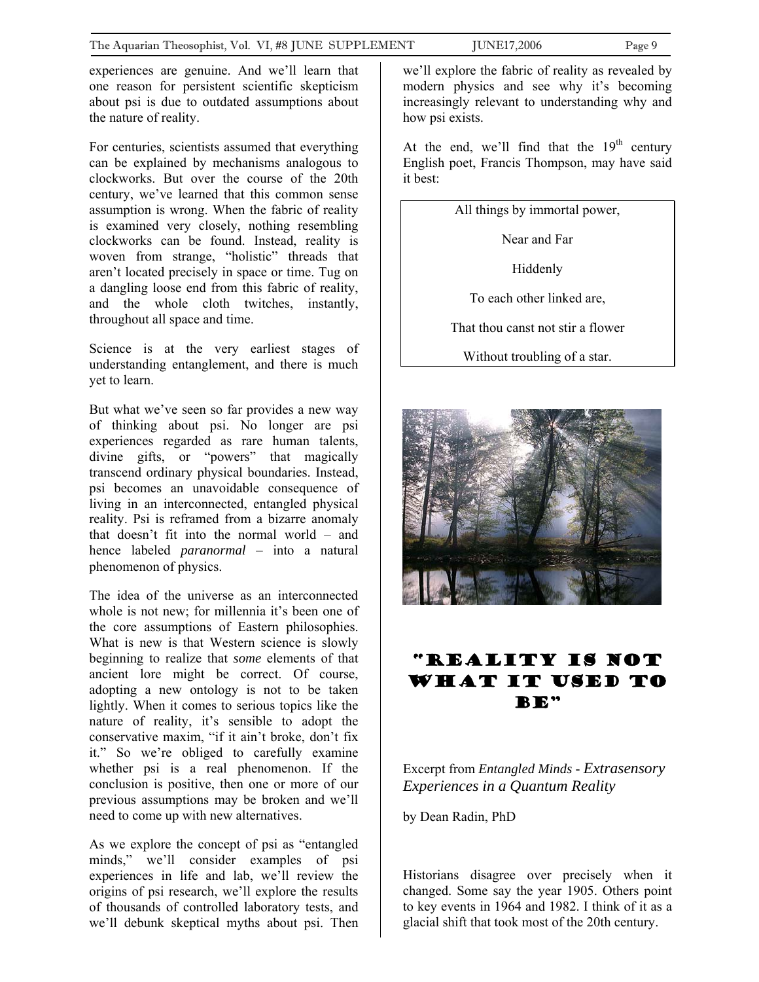<span id="page-8-0"></span>experiences are genuine. And we'll learn that one reason for persistent scientific skepticism about psi is due to outdated assumptions about the nature of reality.

For centuries, scientists assumed that everything can be explained by mechanisms analogous to clockworks. But over the course of the 20th century, we've learned that this common sense assumption is wrong. When the fabric of reality is examined very closely, nothing resembling clockworks can be found. Instead, reality is woven from strange, "holistic" threads that aren't located precisely in space or time. Tug on a dangling loose end from this fabric of reality, and the whole cloth twitches, instantly, throughout all space and time.

Science is at the very earliest stages of understanding entanglement, and there is much yet to learn.

But what we've seen so far provides a new way of thinking about psi. No longer are psi experiences regarded as rare human talents, divine gifts, or "powers" that magically transcend ordinary physical boundaries. Instead, psi becomes an unavoidable consequence of living in an interconnected, entangled physical reality. Psi is reframed from a bizarre anomaly that doesn't fit into the normal world – and hence labeled *paranormal* – into a natural phenomenon of physics.

The idea of the universe as an interconnected whole is not new; for millennia it's been one of the core assumptions of Eastern philosophies. What is new is that Western science is slowly beginning to realize that *some* elements of that ancient lore might be correct. Of course, adopting a new ontology is not to be taken lightly. When it comes to serious topics like the nature of reality, it's sensible to adopt the conservative maxim, "if it ain't broke, don't fix it." So we're obliged to carefully examine whether psi is a real phenomenon. If the conclusion is positive, then one or more of our previous assumptions may be broken and we'll need to come up with new alternatives.

As we explore the concept of psi as "entangled minds," we'll consider examples of psi experiences in life and lab, we'll review the origins of psi research, we'll explore the results of thousands of controlled laboratory tests, and we'll debunk skeptical myths about psi. Then

we'll explore the fabric of reality as revealed by modern physics and see why it's becoming increasingly relevant to understanding why and how psi exists.

At the end, we'll find that the  $19<sup>th</sup>$  century English poet, Francis Thompson, may have said it best:

All things by immortal power,

Near and Far

Hiddenly

To each other linked are,

That thou canst not stir a flower

Without troubling of a star.



## "Reality Is not What It Used To Be"

Excerpt from *Entangled Minds - Extrasensory Experiences in a Quantum Reality*

by Dean Radin, PhD

Historians disagree over precisely when it changed. Some say the year 1905. Others point to key events in 1964 and 1982. I think of it as a glacial shift that took most of the 20th century.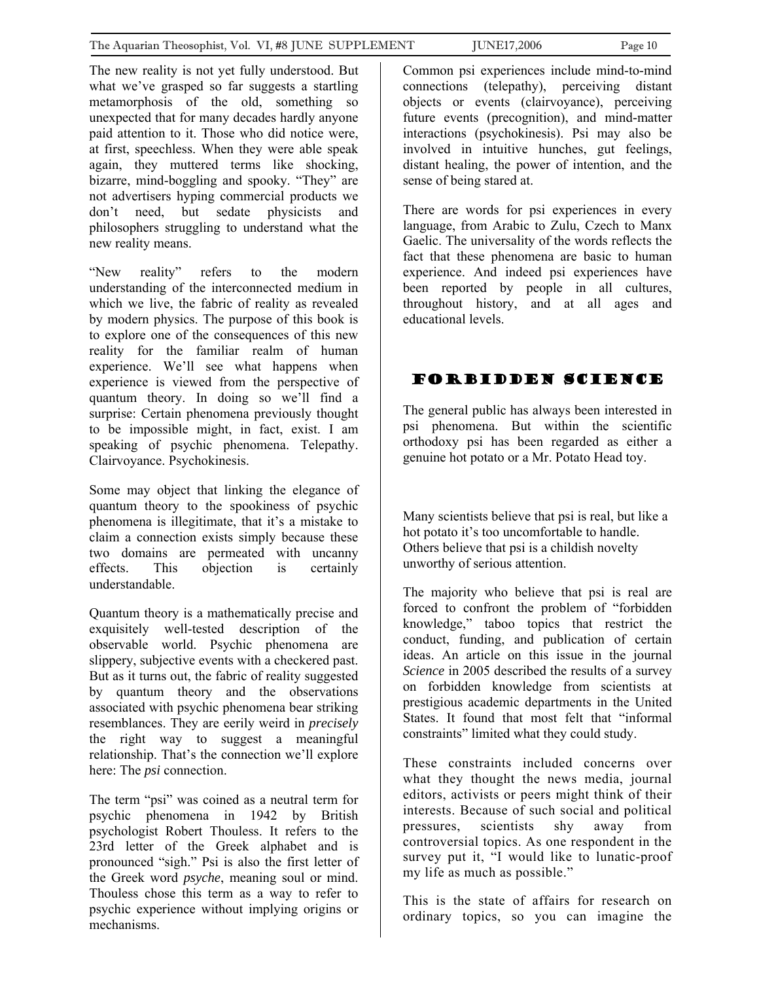The new reality is not yet fully understood. But what we've grasped so far suggests a startling metamorphosis of the old, something so unexpected that for many decades hardly anyone paid attention to it. Those who did notice were, at first, speechless. When they were able speak again, they muttered terms like shocking, bizarre, mind-boggling and spooky. "They" are not advertisers hyping commercial products we don't need, but sedate physicists and philosophers struggling to understand what the new reality means.

"New reality" refers to the modern understanding of the interconnected medium in which we live, the fabric of reality as revealed by modern physics. The purpose of this book is to explore one of the consequences of this new reality for the familiar realm of human experience. We'll see what happens when experience is viewed from the perspective of quantum theory. In doing so we'll find a surprise: Certain phenomena previously thought to be impossible might, in fact, exist. I am speaking of psychic phenomena. Telepathy. Clairvoyance. Psychokinesis.

Some may object that linking the elegance of quantum theory to the spookiness of psychic phenomena is illegitimate, that it's a mistake to claim a connection exists simply because these two domains are permeated with uncanny effects. This objection is certainly understandable.

Quantum theory is a mathematically precise and exquisitely well-tested description of the observable world. Psychic phenomena are slippery, subjective events with a checkered past. But as it turns out, the fabric of reality suggested by quantum theory and the observations associated with psychic phenomena bear striking resemblances. They are eerily weird in *precisely*  the right way to suggest a meaningful relationship. That's the connection we'll explore here: The *psi* connection.

The term "psi" was coined as a neutral term for psychic phenomena in 1942 by British psychologist Robert Thouless. It refers to the 23rd letter of the Greek alphabet and is pronounced "sigh." Psi is also the first letter of the Greek word *psyche*, meaning soul or mind. Thouless chose this term as a way to refer to psychic experience without implying origins or mechanisms.

Common psi experiences include mind-to-mind connections (telepathy), perceiving distant objects or events (clairvoyance), perceiving future events (precognition), and mind-matter interactions (psychokinesis). Psi may also be involved in intuitive hunches, gut feelings, distant healing, the power of intention, and the sense of being stared at.

There are words for psi experiences in every language, from Arabic to Zulu, Czech to Manx Gaelic. The universality of the words reflects the fact that these phenomena are basic to human experience. And indeed psi experiences have been reported by people in all cultures, throughout history, and at all ages and educational levels.

### Forbidden science

The general public has always been interested in psi phenomena. But within the scientific orthodoxy psi has been regarded as either a genuine hot potato or a Mr. Potato Head toy.

Many scientists believe that psi is real, but like a hot potato it's too uncomfortable to handle. Others believe that psi is a childish novelty unworthy of serious attention.

The majority who believe that psi is real are forced to confront the problem of "forbidden knowledge," taboo topics that restrict the conduct, funding, and publication of certain ideas. An article on this issue in the journal *Science* in 2005 described the results of a survey on forbidden knowledge from scientists at prestigious academic departments in the United States. It found that most felt that "informal constraints" limited what they could study.

These constraints included concerns over what they thought the news media, journal editors, activists or peers might think of their interests. Because of such social and political pressures, scientists shy away from controversial topics. As one respondent in the survey put it, "I would like to lunatic-proof my life as much as possible."

This is the state of affairs for research on ordinary topics, so you can imagine the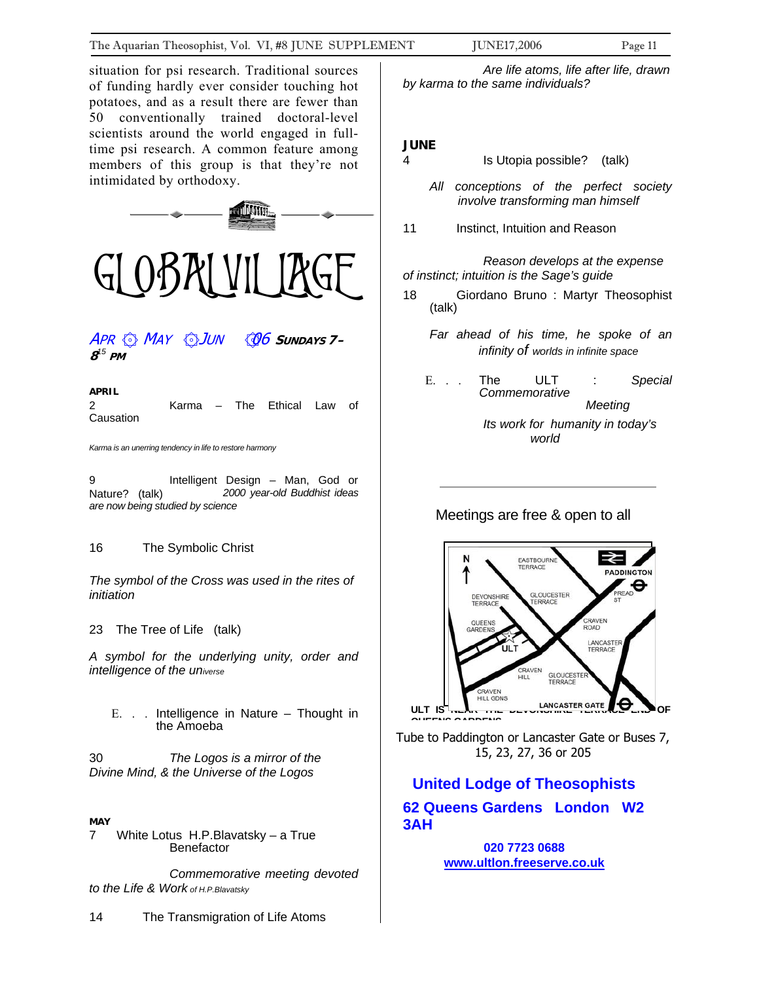<span id="page-10-0"></span>situation for psi research. Traditional sources of funding hardly ever consider touching hot potatoes, and as a result there are fewer than 50 conventionally trained doctoral-level scientists around the world engaged in fulltime psi research. A common feature among members of this group is that they're not intimidated by orthodoxy.





APR MAY JUN 06 **<sup>S</sup>UNDAYS 7–**  $\boldsymbol{8}^{15}$  PM

**APRIL** 

Karma – The Ethical Law of Causation

*Karma is an unerring tendency in life to restore harmony* 

9 Intelligent Design – Man, God or Nature? (talk) *2000 year-old Buddhist ideas are now being studied by science* 

16 The Symbolic Christ

*The symbol of the Cross was used in the rites of initiation* 

23 The Tree of Life (talk)

*A symbol for the underlying unity, order and intelligence of the universe* 

E... Intelligence in Nature – Thought in the Amoeba

30 *The Logos is a mirror of the Divine Mind, & the Universe of the Logos* 

**MAY** 

7 White Lotus H.P.Blavatsky – a True **Benefactor** 

 *Commemorative meeting devoted to the Life & Work of H.P.Blavatsky* 

14 The Transmigration of Life Atoms

 *Are life atoms, life after life, drawn by karma to the same individuals?* 

### **JUNE**

- 4 Is Utopia possible? (talk)
	- *All conceptions of the perfect society involve transforming man himself*
- 11 **Instinct, Intuition and Reason**

 *Reason develops at the expense of instinct; intuition is the Sage's guide* 

- 18 Giordano Bruno : Martyr Theosophist (talk)
	- *Far ahead of his time, he spoke of an infinity of worlds in infinite space*
	- E... The ULT : *Special Commemorative Meeting Its work for humanity in today's world*

### Meetings are free & open to all



Tube to Paddington or Lancaster Gate or Buses 7, 15, 23, 27, 36 or 205

## **United Lodge of Theosophists 62 Queens Gardens London W2 3AH**

**020 7723 0688 [www.ultlon.freeserve.co.uk](http://www.ultlon.freeserve.co.uk/)**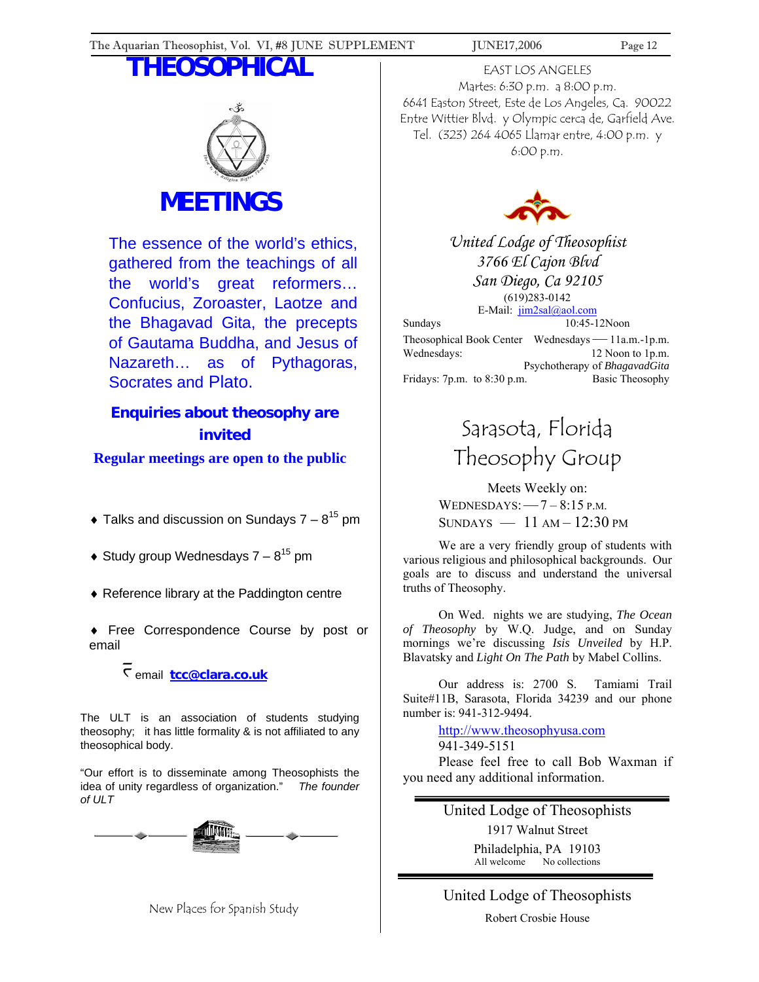## **THEOSOPHICAL**



## **MEETINGS**

The essence of the world's ethics, gathered from the teachings of all the world's great reformers… Confucius, Zoroaster, Laotze and the Bhagavad Gita, the precepts of Gautama Buddha, and Jesus of Nazareth… as of Pythagoras, Socrates and Plato.

## **Enquiries about theosophy are invited**

 **Regular meetings are open to the public**

- $\bullet$  Talks and discussion on Sundays 7  $8^{15}$  pm
- $\triangleleft$  Study group Wednesdays  $7 8^{15}$  pm
- ♦ Reference library at the Paddington centre

♦ Free Correspondence Course by post or email

l email **[tcc@clara.co.uk](mailto:tcc@clara.co.uk)**

The ULT is an association of students studying theosophy; it has little formality & is not affiliated to any theosophical body.

"Our effort is to disseminate among Theosophists the idea of unity regardless of organization." *The founder of ULT* 

EAST LOS ANGELES Martes: 6:30 p.m. a 8:00 p.m. 6641 Easton Street, Este de Los Angeles, Ca. 90022 Entre Wittier Blvd. y Olympic cerca de, Garfield Ave. Tel. (323) 264 4065 Llamar entre, 4:00 p.m. y 6:00 p.m.



*United Lodge of Theosophist 3766 El Cajon Blvd San Diego, Ca 92105*  (619)283-0142 E-Mail: [jim2sal@aol.com](mailto:jim2sal@aol.com) Sundays 10:45-12Noon Theosophical Book Center Wednesdays—11a.m.-1p.m. Wednesdays: 12 Noon to 1p.m.

 Psychotherapy of *BhagavadGita* Fridays: 7p.m. to 8:30 p.m. Basic Theosophy

## Sarasota, Florida Theosophy Group

Meets Weekly on: WEDNESDAYS:  $-7 - 8:15$  P.M. SUNDAYS  $-11$  AM  $-12:30$  PM

We are a very friendly group of students with various religious and philosophical backgrounds. Our goals are to discuss and understand the universal truths of Theosophy.

On Wed. nights we are studying, *The Ocean of Theosophy* by W.Q. Judge, and on Sunday mornings we're discussing *Isis Unveiled* by H.P. Blavatsky and *Light On The Path* by Mabel Collins.

Our address is: 2700 S. Tamiami Trail Suite#11B, Sarasota, Florida 34239 and our phone number is: 941-312-9494.

> http://www.theosophyusa.com 941-349-5151

Please feel free to call Bob Waxman if you need any additional information.

> United Lodge of Theosophists 1917 Walnut Street Philadelphia, PA 19103<br>All welcome No collections No collections

United Lodge of Theosophists

Robert Crosbie House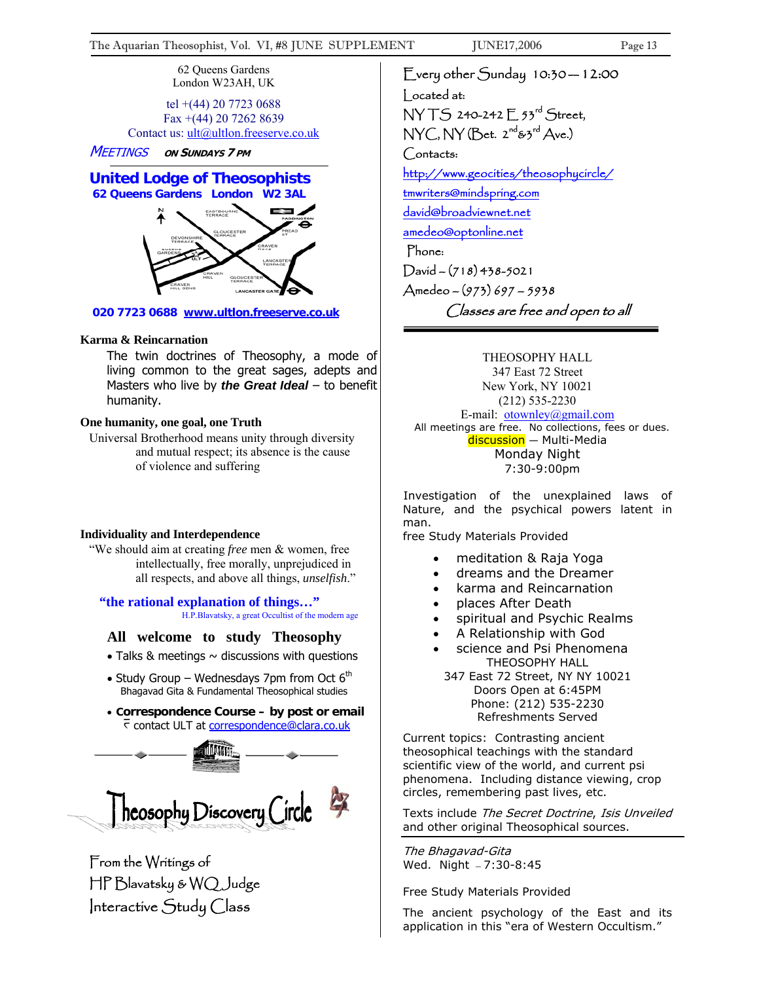62 Queens Gardens London W23AH, UK

tel +(44) 20 7723 0688 Fax +(44) 20 7262 8639 Contact us: [ult@ultlon.freeserve.co.uk](mailto:ult@ultlon.freeserve.co.uk)

MEETINGS **ON SUNDAYS 7 PM**

j **United Lodge of Theosophists 62 Queens Gardens London W2 3AL** 



 **020 7723 0688 www.ultlon.freeserve.co.uk**

#### **Karma & Reincarnation**

The twin doctrines of Theosophy, a mode of living common to the great sages, adepts and Masters who live by *the Great Ideal* – to benefit humanity.

### **One humanity, one goal, one Truth**

Universal Brotherhood means unity through diversity and mutual respect; its absence is the cause of violence and suffering

### **Individuality and Interdependence**

"We should aim at creating *free* men & women, free intellectually, free morally, unprejudiced in all respects, and above all things, *unselfish*."

**"the rational explanation of things…"** H.P.Blavatsky, a great Occultist of the modern age

### **All welcome to study Theosophy**

- Talks & meetings  $\sim$  discussions with questions
- Study Group Wednesdays 7pm from Oct  $6<sup>th</sup>$ Bhagavad Gita & Fundamental Theosophical studies
- **Correspondence Course by post or email**  $\overline{C}$  contact ULT at correspondence@clara.co.uk



From the Writings of HP Blavatsky & WQ Judge Interactive Study Class

Every other Sunday  $10:30 - 12:00$ Located at: NY TS 240-242 E 53rd Street,  $NYC, NY$  (Bet.  $2^{nd}$ & $3^{rd}$  Ave.) Contacts: <http://www.geocities/theosophycircle/> [tmwriters@mindspring.com](mailto:Tmwriters@mindspring.com) [david@broadviewnet.net](mailto:David@broadviewnet.net) [amedeo@optonline.net](mailto:Amedeo@optonline.net) Phone:  $David - (718)438-5021$ Amedeo – (973) 697 – 5938

Classes are free and open to all

THEOSOPHY HALL 347 East 72 Street New York, NY 10021 (212) 535-2230 E-mail: [otownley@gmail.com](mailto:Uotownley@gmail.comUHH) All meetings are free. No collections, fees or dues. discussion — Multi-Media Monday Night 7:30-9:00pm

Investigation of the unexplained laws of Nature, and the psychical powers latent in man.

free Study Materials Provided

- meditation & Raja Yoga
- dreams and the Dreamer
- karma and Reincarnation
- places After Death
- spiritual and Psychic Realms
- A Relationship with God
- science and Psi Phenomena THEOSOPHY HALL

347 East 72 Street, NY NY 10021 Doors Open at 6:45PM Phone: (212) 535-2230 Refreshments Served

Current topics: Contrasting ancient theosophical teachings with the standard scientific view of the world, and current psi phenomena. Including distance viewing, crop circles, remembering past lives, etc.

Texts include The Secret Doctrine, Isis Unveiled and other original Theosophical sources.

The Bhagavad-Gita Wed. Night — 7:30-8:45

Free Study Materials Provided

The ancient psychology of the East and its application in this "era of Western Occultism."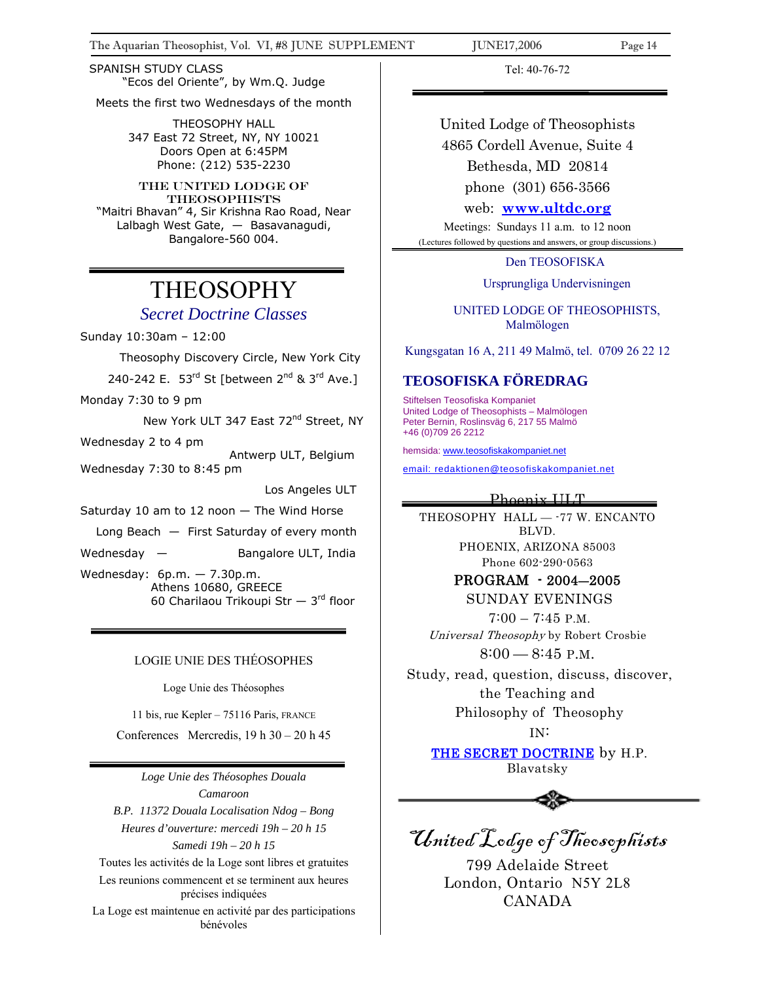SPANISH STUDY CLASS "Ecos del Oriente", by Wm.Q. Judge

Meets the first two Wednesdays of the month

THEOSOPHY HALL 347 East 72 Street, NY, NY 10021 Doors Open at 6:45PM Phone: (212) 535-2230

THE UNITED LODGE OF **THEOSOPHISTS** "Maitri Bhavan" 4, Sir Krishna Rao Road, Near Lalbagh West Gate, — Basavanagudi, Bangalore-560 004.

## THEOSOPHY

*Secret Doctrine Classes*

Sunday 10:30am – 12:00

Theosophy Discovery Circle, New York City

240-242 E.  $53<sup>rd</sup>$  St [between 2<sup>nd</sup> & 3<sup>rd</sup> Ave.]

Monday 7:30 to 9 pm

New York ULT 347 East 72<sup>nd</sup> Street, NY

Wednesday 2 to 4 pm

 Antwerp ULT, Belgium Wednesday 7:30 to 8:45 pm

Los Angeles ULT

Saturday 10 am to 12 noon — The Wind Horse

Long Beach — First Saturday of every month

Wednesday — Bangalore ULT, India

Wednesday: 6p.m. — 7.30p.m. Athens 10680, GREECE 60 Charilaou Trikoupi Str  $-3<sup>rd</sup>$  floor

### LOGIE UNIE DES THÉOSOPHES

Loge Unie des Théosophes

11 bis, rue Kepler – 75116 Paris, FRANCE

Conferences Mercredis, 19 h 30 – 20 h 45

*Loge Unie des Théosophes Douala Camaroon B.P. 11372 Douala Localisation Ndog – Bong Heures d'ouverture: mercedi 19h – 20 h 15 Samedi 19h – 20 h 15* 

Toutes les activités de la Loge sont libres et gratuites

Les reunions commencent et se terminent aux heures précises indiquées

La Loge est maintenue en activité par des participations bénévoles

Tel: 40-76-72

United Lodge of Theosophists 4865 Cordell Avenue, Suite 4 Bethesda, MD 20814 phone (301) 656-3566 web: **[www.ultdc.org](http://www.ultdc.org/)**

Meetings: Sundays 11 a.m. to 12 noon (Lectures followed by questions and answers, or group discussions.)

Den TEOSOFISKA

Ursprungliga Undervisningen

 UNITED LODGE OF THEOSOPHISTS, Malmölogen

Kungsgatan 16 A, 211 49 Malmö, tel. 0709 26 22 12

### **TEOSOFISKA FÖREDRAG**

Stiftelsen Teosofiska Kompaniet United Lodge of Theosophists - Malmölogen Peter Bernin, Roslinsväg 6, 217 55 Malmö +46 (0)709 26 2212

hemsida: [www.t](http://www.teosofiskakompaniet.net/)eosofiskakompaniet.net

[email: redaktionen@teosofiskakompaniet.net](http://www.teosofiskakompaniet.net/)

### Phoenix ULT

THEOSOPHY HALL - 77 W. ENCANTO BLVD.

> PHOENIX, ARIZONA 85003 Phone 602-290-0563

PROGRAM - 2004―2005 SUNDAY EVENINGS

 $7:00 - 7:45$  P.M. Universal Theosophy by Robert Crosbie

 $8:00 - 8:45$  P.M.

Study, read, question, discuss, discover, the Teaching and Philosophy of Theosophy

IN:

THE SECRET DOCTRINE by H.P. Blavatsky



United Lodge of Theosophists

799 Adelaide Street London, Ontario N5Y 2L8 CANADA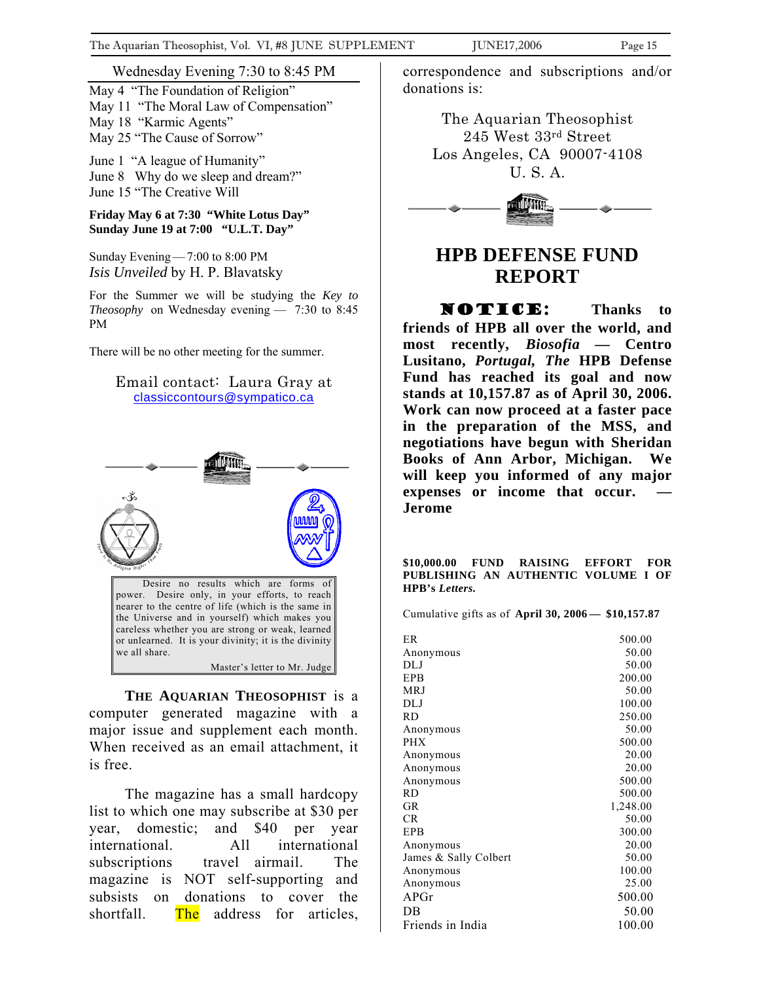### Wednesday Evening 7:30 to 8:45 PM

<span id="page-14-0"></span>May 4 "The Foundation of Religion" May 11 "The Moral Law of Compensation" May 18 "Karmic Agents" May 25 "The Cause of Sorrow"

June 1 "A league of Humanity" June 8 Why do we sleep and dream?" June 15 "The Creative Will

**Friday May 6 at 7:30 "White Lotus Day" Sunday June 19 at 7:00 "U.L.T. Day"** 

Sunday Evening—7:00 to 8:00 PM *Isis Unveiled* by H. P. Blavatsky

For the Summer we will be studying the *Key to Theosophy* on Wednesday evening — 7:30 to 8:45 PM

There will be no other meeting for the summer.

### Email contact: Laura Gray at [classiccontours@sympatico.ca](mailto:classiccontours@sympatico.ca)



**THE AQUARIAN THEOSOPHIST** is a computer generated magazine with a major issue and supplement each month. When received as an email attachment, it is free.

The magazine has a small hardcopy list to which one may subscribe at \$30 per year, domestic; and \$40 per year international. All international subscriptions travel airmail. The magazine is NOT self-supporting and subsists on donations to cover the shortfall. The address for articles, correspondence and subscriptions and/or donations is:

> The Aquarian Theosophist 245 West 33rd Street Los Angeles, CA 90007-4108 U. S. A.



## **HPB DEFENSE FUND REPORT**

**NOTICE:** Thanks to **friends of HPB all over the world, and most recently,** *Biosofia —* **Centro Lusitano,** *Portugal, The* **HPB Defense Fund has reached its goal and now stands at 10,157.87 as of April 30, 2006. Work can now proceed at a faster pace in the preparation of the MSS, and negotiations have begun with Sheridan Books of Ann Arbor, Michigan. We will keep you informed of any major expenses or income that occur. — Jerome** 

#### **\$10,000.00 FUND RAISING EFFORT FOR PUBLISHING AN AUTHENTIC VOLUME I OF HPB's** *Letters.*

Cumulative gifts as of **April 30, 2006 — \$10,157.87** 

| ER                    | 500.00   |
|-----------------------|----------|
| Anonymous             | 50.00    |
| DLJ                   | 50.00    |
| <b>EPB</b>            | 200.00   |
| <b>MRJ</b>            | 50.00    |
| DLJ                   | 100.00   |
| RD.                   | 250.00   |
| Anonymous             | 50.00    |
| <b>PHX</b>            | 500.00   |
| Anonymous             | 20.00    |
| Anonymous             | 20.00    |
| Anonymous             | 500.00   |
| RD.                   | 500.00   |
| GR                    | 1,248.00 |
| CR.                   | 50.00    |
| <b>EPB</b>            | 300.00   |
| Anonymous             | 20.00    |
| James & Sally Colbert | 50.00    |
| Anonymous             | 100.00   |
| Anonymous             | 25.00    |
| APGr                  | 500.00   |
| DB                    | 50.00    |
| Friends in India      | 100.00   |
|                       |          |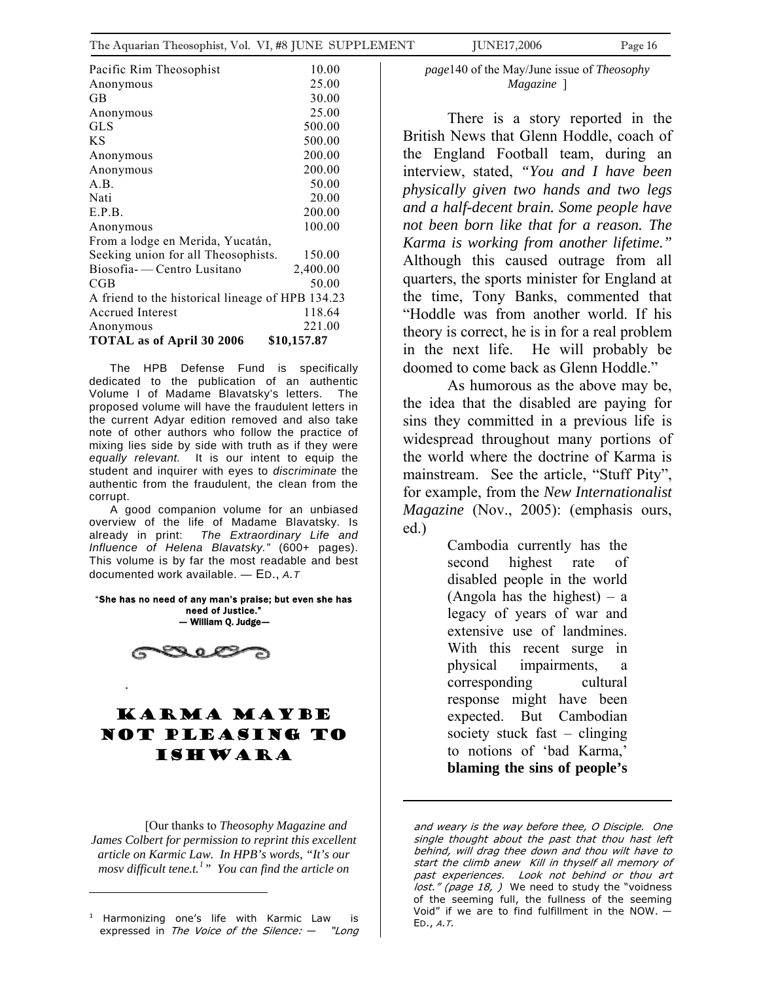<span id="page-15-0"></span>

| Pacific Rim Theosophist                          | 10.00       |
|--------------------------------------------------|-------------|
| Anonymous                                        | 25.00       |
| GВ                                               | 30.00       |
| Anonymous                                        | 25.00       |
| <b>GLS</b>                                       | 500.00      |
| <b>KS</b>                                        | 500.00      |
| Anonymous                                        | 200.00      |
| Anonymous                                        | 200.00      |
| A.B.                                             | 50.00       |
| Nati                                             | 20.00       |
| E.P.B.                                           | 200.00      |
| Anonymous                                        | 100.00      |
| From a lodge en Merida, Yucatán,                 |             |
| Seeking union for all Theosophists.              | 150.00      |
| Biosofia- — Centro Lusitano                      | 2,400.00    |
| CGB                                              | 50.00       |
| A friend to the historical lineage of HPB 134.23 |             |
| <b>Accrued Interest</b>                          | 118.64      |
| Anonymous                                        | 221.00      |
| TOTAL as of April 30 2006                        | \$10,157.87 |

 The HPB Defense Fund is specifically dedicated to the publication of an authentic Volume I of Madame Blavatsky's letters. The proposed volume will have the fraudulent letters in the current Adyar edition removed and also take note of other authors who follow the practice of mixing lies side by side with truth as if they were *equally relevant.* It is our intent to equip the student and inquirer with eyes to *discriminate* the authentic from the fraudulent, the clean from the corrupt.

 A good companion volume for an unbiased overview of the life of Madame Blavatsky. Is already in print: *The Extraordinary Life and Influence of Helena Blavatsky."* (600+ pages). This volume is by far the most readable and best documented work available. — ED., *A.T*

#### "She has no need of any man's praise; but even she has need of Justice." — William Q. Judge —

.

## Karma Maybe not Pleasing to Ishwara

[Our thanks to *Theosophy Magazine and James Colbert for permission to reprint this excellent article on Karmic Law. In HPB's words, "It's our mosv difficult tene.t.[1](#page-15-1) " You can find the article on* 

*page*140 of the May/June issue of *Theosophy Magazine* ]

There is a story reported in the British News that Glenn Hoddle, coach of the England Football team, during an interview, stated, *"You and I have been physically given two hands and two legs and a half-decent brain. Some people have not been born like that for a reason. The Karma is working from another lifetime."* Although this caused outrage from all quarters, the sports minister for England at the time, Tony Banks, commented that "Hoddle was from another world. If his theory is correct, he is in for a real problem in the next life. He will probably be doomed to come back as Glenn Hoddle."

As humorous as the above may be, the idea that the disabled are paying for sins they committed in a previous life is widespread throughout many portions of the world where the doctrine of Karma is mainstream. See the article, "Stuff Pity", for example, from the *New Internationalist Magazine* (Nov., 2005): (emphasis ours, ed.)

> Cambodia currently has the second highest rate of disabled people in the world (Angola has the highest) – a legacy of years of war and extensive use of landmines. With this recent surge in physical impairments, a corresponding cultural response might have been expected. But Cambodian society stuck fast – clinging to notions of 'bad Karma,' **blaming the sins of people's**

and weary is the way before thee, O Disciple. One single thought about the past that thou hast left behind, will drag thee down and thou wilt have to start the climb anew Kill in thyself all memory of past experiences. Look not behind or thou art lost." (page 18, ) We need to study the "voidness of the seeming full, the fullness of the seeming Void" if we are to find fulfillment in the NOW. —  $ED.$ ,  $A.7$ .

 $\overline{a}$ 

<span id="page-15-1"></span><sup>&</sup>lt;sup>1</sup> Harmonizing one's life with Karmic Law is expressed in The Voice of the Silence: - "Long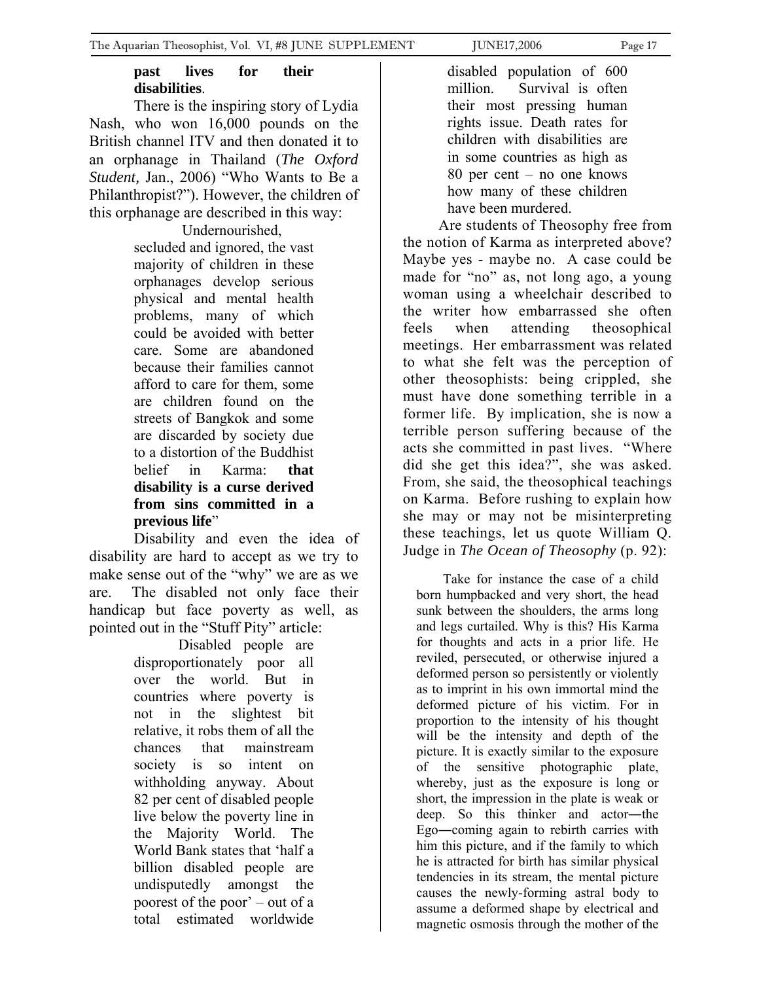## **past lives for their disabilities**.

There is the inspiring story of Lydia Nash, who won 16,000 pounds on the British channel ITV and then donated it to an orphanage in Thailand (*The Oxford Student,* Jan., 2006) "Who Wants to Be a Philanthropist?"). However, the children of this orphanage are described in this way:

> Undernourished, secluded and ignored, the vast majority of children in these orphanages develop serious physical and mental health problems, many of which could be avoided with better care. Some are abandoned because their families cannot afford to care for them, some are children found on the streets of Bangkok and some are discarded by society due to a distortion of the Buddhist belief in Karma: **that disability is a curse derived from sins committed in a previous life**"

Disability and even the idea of disability are hard to accept as we try to make sense out of the "why" we are as we are. The disabled not only face their handicap but face poverty as well, as pointed out in the "Stuff Pity" article:

Disabled people are disproportionately poor all over the world. But in countries where poverty is not in the slightest bit relative, it robs them of all the chances that mainstream society is so intent on withholding anyway. About 82 per cent of disabled people live below the poverty line in the Majority World. The World Bank states that 'half a billion disabled people are undisputedly amongst the poorest of the poor' – out of a total estimated worldwide

disabled population of 600 million. Survival is often their most pressing human rights issue. Death rates for children with disabilities are in some countries as high as 80 per cent – no one knows how many of these children have been murdered.

Are students of Theosophy free from the notion of Karma as interpreted above? Maybe yes - maybe no. A case could be made for "no" as, not long ago, a young woman using a wheelchair described to the writer how embarrassed she often feels when attending theosophical meetings. Her embarrassment was related to what she felt was the perception of other theosophists: being crippled, she must have done something terrible in a former life. By implication, she is now a terrible person suffering because of the acts she committed in past lives. "Where did she get this idea?", she was asked. From, she said, the theosophical teachings on Karma. Before rushing to explain how she may or may not be misinterpreting these teachings, let us quote William Q. Judge in *The Ocean of Theosophy* (p. 92):

Take for instance the case of a child born humpbacked and very short, the head sunk between the shoulders, the arms long and legs curtailed. Why is this? His Karma for thoughts and acts in a prior life. He reviled, persecuted, or otherwise injured a deformed person so persistently or violently as to imprint in his own immortal mind the deformed picture of his victim. For in proportion to the intensity of his thought will be the intensity and depth of the picture. It is exactly similar to the exposure of the sensitive photographic plate, whereby, just as the exposure is long or short, the impression in the plate is weak or deep. So this thinker and actor―the Ego―coming again to rebirth carries with him this picture, and if the family to which he is attracted for birth has similar physical tendencies in its stream, the mental picture causes the newly-forming astral body to assume a deformed shape by electrical and magnetic osmosis through the mother of the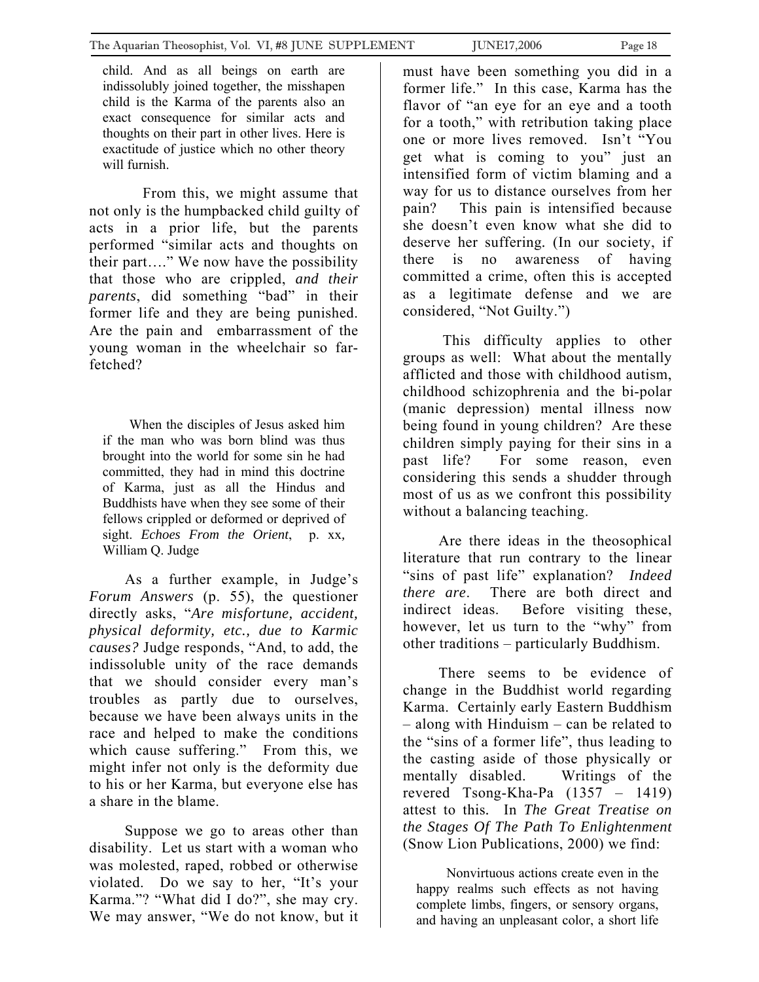child. And as all beings on earth are indissolubly joined together, the misshapen child is the Karma of the parents also an exact consequence for similar acts and thoughts on their part in other lives. Here is exactitude of justice which no other theory will furnish.

 From this, we might assume that not only is the humpbacked child guilty of acts in a prior life, but the parents performed "similar acts and thoughts on their part…." We now have the possibility that those who are crippled, *and their parents*, did something "bad" in their former life and they are being punished. Are the pain and embarrassment of the young woman in the wheelchair so farfetched?

When the disciples of Jesus asked him if the man who was born blind was thus brought into the world for some sin he had committed, they had in mind this doctrine of Karma, just as all the Hindus and Buddhists have when they see some of their fellows crippled or deformed or deprived of sight. *Echoes From the Orient*, p. xx*,*  William Q. Judge

As a further example, in Judge's *Forum Answers* (p. 55), the questioner directly asks, "*Are misfortune, accident, physical deformity, etc., due to Karmic causes?* Judge responds, "And, to add, the indissoluble unity of the race demands that we should consider every man's troubles as partly due to ourselves, because we have been always units in the race and helped to make the conditions which cause suffering." From this, we might infer not only is the deformity due to his or her Karma, but everyone else has a share in the blame.

Suppose we go to areas other than disability. Let us start with a woman who was molested, raped, robbed or otherwise violated. Do we say to her, "It's your Karma."? "What did I do?", she may cry. We may answer, "We do not know, but it must have been something you did in a former life." In this case, Karma has the flavor of "an eye for an eye and a tooth for a tooth," with retribution taking place one or more lives removed. Isn't "You get what is coming to you" just an intensified form of victim blaming and a way for us to distance ourselves from her pain? This pain is intensified because she doesn't even know what she did to deserve her suffering*.* (In our society, if there is no awareness of having committed a crime, often this is accepted as a legitimate defense and we are considered, "Not Guilty.")

 This difficulty applies to other groups as well: What about the mentally afflicted and those with childhood autism, childhood schizophrenia and the bi-polar (manic depression) mental illness now being found in young children? Are these children simply paying for their sins in a past life? For some reason, even considering this sends a shudder through most of us as we confront this possibility without a balancing teaching.

Are there ideas in the theosophical literature that run contrary to the linear "sins of past life" explanation? *Indeed there are*. There are both direct and indirect ideas. Before visiting these, however, let us turn to the "why" from other traditions – particularly Buddhism.

There seems to be evidence of change in the Buddhist world regarding Karma. Certainly early Eastern Buddhism – along with Hinduism – can be related to the "sins of a former life", thus leading to the casting aside of those physically or mentally disabled. Writings of the revered Tsong-Kha-Pa (1357 – 1419) attest to this*.* In *The Great Treatise on the Stages Of The Path To Enlightenment*  (Snow Lion Publications, 2000) we find:

 Nonvirtuous actions create even in the happy realms such effects as not having complete limbs, fingers, or sensory organs, and having an unpleasant color, a short life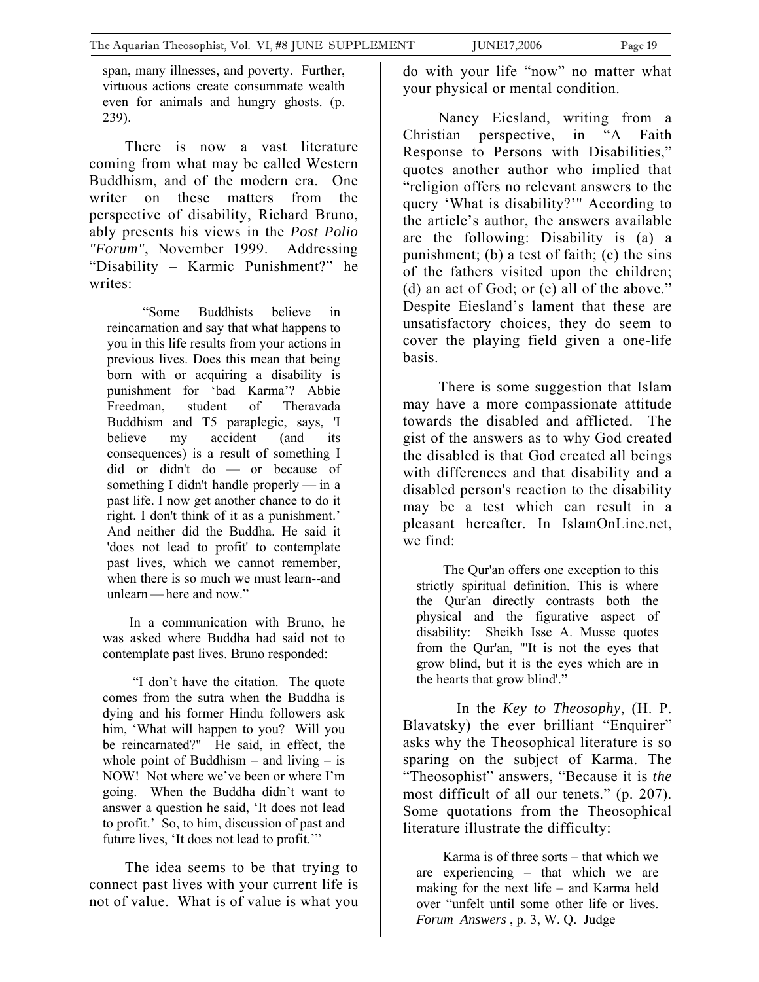span, many illnesses, and poverty. Further, virtuous actions create consummate wealth even for animals and hungry ghosts. (p. 239).

There is now a vast literature coming from what may be called Western Buddhism, and of the modern era. One writer on these matters from the perspective of disability, Richard Bruno, ably presents his views in the *Post Polio "Forum"*, November 1999. Addressing "Disability – Karmic Punishment?" he writes:

 "Some Buddhists believe in reincarnation and say that what happens to you in this life results from your actions in previous lives. Does this mean that being born with or acquiring a disability is punishment for 'bad Karma'? Abbie Freedman, student of Theravada Buddhism and T5 paraplegic, says, 'I believe my accident (and its consequences) is a result of something I did or didn't do — or because of something I didn't handle properly — in a past life. I now get another chance to do it right. I don't think of it as a punishment.' And neither did the Buddha. He said it 'does not lead to profit' to contemplate past lives, which we cannot remember, when there is so much we must learn--and unlearn—here and now."

In a communication with Bruno, he was asked where Buddha had said not to contemplate past lives. Bruno responded:

 "I don't have the citation. The quote comes from the sutra when the Buddha is dying and his former Hindu followers ask him, 'What will happen to you? Will you be reincarnated?" He said, in effect, the whole point of Buddhism – and living – is NOW! Not where we've been or where I'm going. When the Buddha didn't want to answer a question he said, 'It does not lead to profit.' So, to him, discussion of past and future lives, 'It does not lead to profit.'"

The idea seems to be that trying to connect past lives with your current life is not of value. What is of value is what you do with your life "now" no matter what your physical or mental condition.

Nancy Eiesland, writing from a Christian perspective, in "A Faith Response to Persons with Disabilities," quotes another author who implied that "religion offers no relevant answers to the query 'What is disability?'" According to the article's author, the answers available are the following: Disability is (a) a punishment; (b) a test of faith; (c) the sins of the fathers visited upon the children; (d) an act of God; or (e) all of the above." Despite Eiesland's lament that these are unsatisfactory choices, they do seem to cover the playing field given a one-life basis.

There is some suggestion that Islam may have a more compassionate attitude towards the disabled and afflicted. The gist of the answers as to why God created the disabled is that God created all beings with differences and that disability and a disabled person's reaction to the disability may be a test which can result in a pleasant hereafter. In IslamOnLine.net, we find:

The Qur'an offers one exception to this strictly spiritual definition. This is where the Qur'an directly contrasts both the physical and the figurative aspect of disability: Sheikh Isse A. Musse quotes from the Qur'an, "'It is not the eyes that grow blind, but it is the eyes which are in the hearts that grow blind'."

 In the *Key to Theosophy*, (H. P. Blavatsky) the ever brilliant "Enquirer" asks why the Theosophical literature is so sparing on the subject of Karma. The "Theosophist" answers, "Because it is *the*  most difficult of all our tenets." (p. 207). Some quotations from the Theosophical literature illustrate the difficulty:

Karma is of three sorts – that which we are experiencing – that which we are making for the next life – and Karma held over "unfelt until some other life or lives. *Forum Answers* , p. 3, W. Q. Judge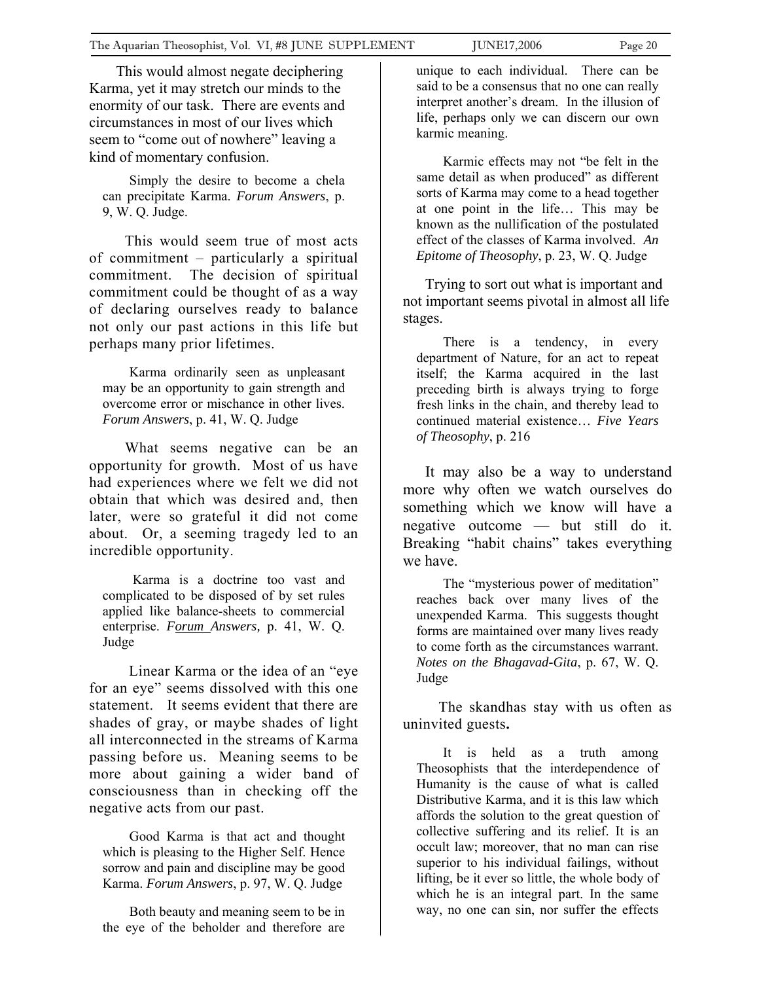This would almost negate deciphering Karma, yet it may stretch our minds to the enormity of our task. There are events and circumstances in most of our lives which seem to "come out of nowhere" leaving a kind of momentary confusion.

Simply the desire to become a chela can precipitate Karma. *Forum Answers*, p. 9, W. Q. Judge.

This would seem true of most acts of commitment – particularly a spiritual commitment. The decision of spiritual commitment could be thought of as a way of declaring ourselves ready to balance not only our past actions in this life but perhaps many prior lifetimes.

Karma ordinarily seen as unpleasant may be an opportunity to gain strength and overcome error or mischance in other lives. *Forum Answers*, p. 41, W. Q. Judge

What seems negative can be an opportunity for growth. Most of us have had experiences where we felt we did not obtain that which was desired and, then later, were so grateful it did not come about. Or, a seeming tragedy led to an incredible opportunity.

 Karma is a doctrine too vast and complicated to be disposed of by set rules applied like balance-sheets to commercial enterprise. *Forum Answers,* p. 41, W. Q. Judge

 Linear Karma or the idea of an "eye for an eye" seems dissolved with this one statement. It seems evident that there are shades of gray, or maybe shades of light all interconnected in the streams of Karma passing before us.Meaning seems to be more about gaining a wider band of consciousness than in checking off the negative acts from our past.

Good Karma is that act and thought which is pleasing to the Higher Self. Hence sorrow and pain and discipline may be good Karma. *Forum Answers*, p. 97, W. Q. Judge

Both beauty and meaning seem to be in the eye of the beholder and therefore are

Karmic effects may not "be felt in the same detail as when produced" as different sorts of Karma may come to a head together at one point in the life… This may be known as the nullification of the postulated effect of the classes of Karma involved. *An Epitome of Theosophy*, p. 23, W. Q. Judge

Trying to sort out what is important and not important seems pivotal in almost all life stages.

There is a tendency, in every department of Nature, for an act to repeat itself; the Karma acquired in the last preceding birth is always trying to forge fresh links in the chain, and thereby lead to continued material existence… *Five Years of Theosophy*, p. 216

It may also be a way to understand more why often we watch ourselves do something which we know will have a negative outcome — but still do it. Breaking "habit chains" takes everything we have.

The "mysterious power of meditation" reaches back over many lives of the unexpended Karma. This suggests thought forms are maintained over many lives ready to come forth as the circumstances warrant. *Notes on the Bhagavad-Gita*, p. 67, W. Q. Judge

The skandhas stay with us often as uninvited guests**.**

It is held as a truth among Theosophists that the interdependence of Humanity is the cause of what is called Distributive Karma, and it is this law which affords the solution to the great question of collective suffering and its relief. It is an occult law; moreover, that no man can rise superior to his individual failings, without lifting, be it ever so little, the whole body of which he is an integral part. In the same way, no one can sin, nor suffer the effects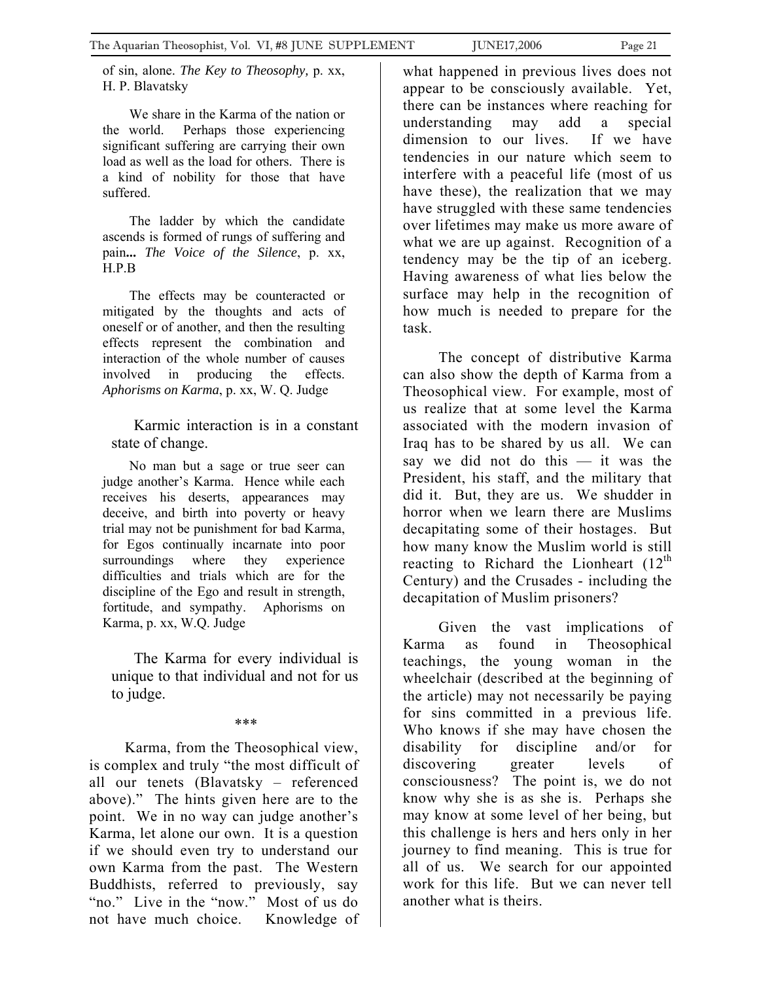of sin, alone. *The Key to Theosophy,* p. xx, H. P. Blavatsky

We share in the Karma of the nation or the world. Perhaps those experiencing significant suffering are carrying their own load as well as the load for others. There is a kind of nobility for those that have suffered.

The ladder by which the candidate ascends is formed of rungs of suffering and pain**...** *The Voice of the Silence*, p. xx, H.P.B

The effects may be counteracted or mitigated by the thoughts and acts of oneself or of another, and then the resulting effects represent the combination and interaction of the whole number of causes involved in producing the effects. *Aphorisms on Karma*, p. xx, W. Q. Judge

Karmic interaction is in a constant state of change.

No man but a sage or true seer can judge another's Karma. Hence while each receives his deserts, appearances may deceive, and birth into poverty or heavy trial may not be punishment for bad Karma, for Egos continually incarnate into poor surroundings where they experience difficulties and trials which are for the discipline of the Ego and result in strength, fortitude, and sympathy. Aphorisms on Karma, p. xx, W.Q. Judge

The Karma for every individual is unique to that individual and not for us to judge.

\*\*\*

Karma, from the Theosophical view, is complex and truly "the most difficult of all our tenets (Blavatsky – referenced above)." The hints given here are to the point. We in no way can judge another's Karma, let alone our own. It is a question if we should even try to understand our own Karma from the past. The Western Buddhists, referred to previously, say "no." Live in the "now." Most of us do not have much choice. Knowledge of what happened in previous lives does not appear to be consciously available. Yet, there can be instances where reaching for understanding may add a special dimension to our lives. If we have tendencies in our nature which seem to interfere with a peaceful life (most of us have these), the realization that we may have struggled with these same tendencies over lifetimes may make us more aware of what we are up against. Recognition of a tendency may be the tip of an iceberg. Having awareness of what lies below the surface may help in the recognition of how much is needed to prepare for the task.

The concept of distributive Karma can also show the depth of Karma from a Theosophical view. For example, most of us realize that at some level the Karma associated with the modern invasion of Iraq has to be shared by us all. We can say we did not do this — it was the President, his staff, and the military that did it. But, they are us. We shudder in horror when we learn there are Muslims decapitating some of their hostages. But how many know the Muslim world is still reacting to Richard the Lionheart  $(12<sup>th</sup>$ Century) and the Crusades - including the decapitation of Muslim prisoners?

Given the vast implications of Karma as found in Theosophical teachings, the young woman in the wheelchair (described at the beginning of the article) may not necessarily be paying for sins committed in a previous life. Who knows if she may have chosen the disability for discipline and/or for discovering greater levels of consciousness? The point is, we do not know why she is as she is. Perhaps she may know at some level of her being, but this challenge is hers and hers only in her journey to find meaning. This is true for all of us. We search for our appointed work for this life. But we can never tell another what is theirs.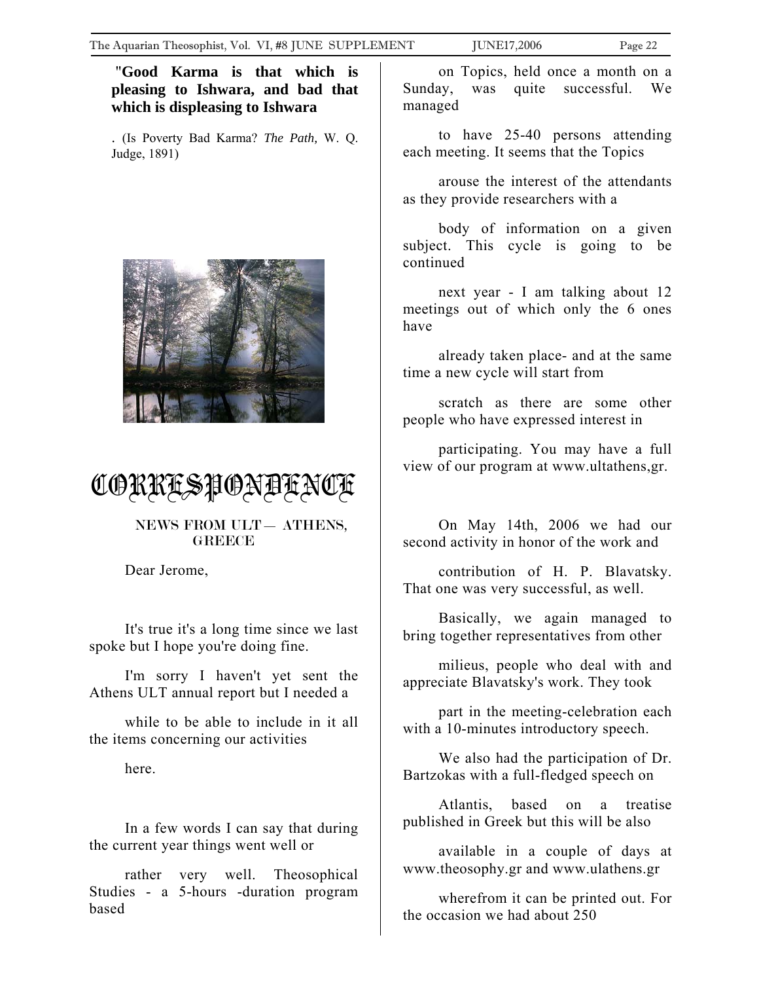### <span id="page-21-0"></span> "**Good Karma is that which is pleasing to Ishwara, and bad that which is displeasing to Ishwara**

. (Is Poverty Bad Karma? *The Path,* W. Q. Judge, 1891)



## CORRESPONDENCE

NEWS FROM ULT - ATHENS, **GREECE** 

Dear Jerome,

It's true it's a long time since we last spoke but I hope you're doing fine.

I'm sorry I haven't yet sent the Athens ULT annual report but I needed a

while to be able to include in it all the items concerning our activities

here.

In a few words I can say that during the current year things went well or

rather very well. Theosophical Studies - a 5-hours -duration program based

on Topics, held once a month on a Sunday, was quite successful. We managed

to have 25-40 persons attending each meeting. It seems that the Topics

arouse the interest of the attendants as they provide researchers with a

body of information on a given subject. This cycle is going to be continued

next year - I am talking about 12 meetings out of which only the 6 ones have

already taken place- and at the same time a new cycle will start from

scratch as there are some other people who have expressed interest in

participating. You may have a full view of our program at www.ultathens,gr.

On May 14th, 2006 we had our second activity in honor of the work and

contribution of H. P. Blavatsky. That one was very successful, as well.

Basically, we again managed to bring together representatives from other

milieus, people who deal with and appreciate Blavatsky's work. They took

part in the meeting-celebration each with a 10-minutes introductory speech.

We also had the participation of Dr. Bartzokas with a full-fledged speech on

Atlantis, based on a treatise published in Greek but this will be also

available in a couple of days at www.theosophy.gr and www.ulathens.gr

wherefrom it can be printed out. For the occasion we had about 250